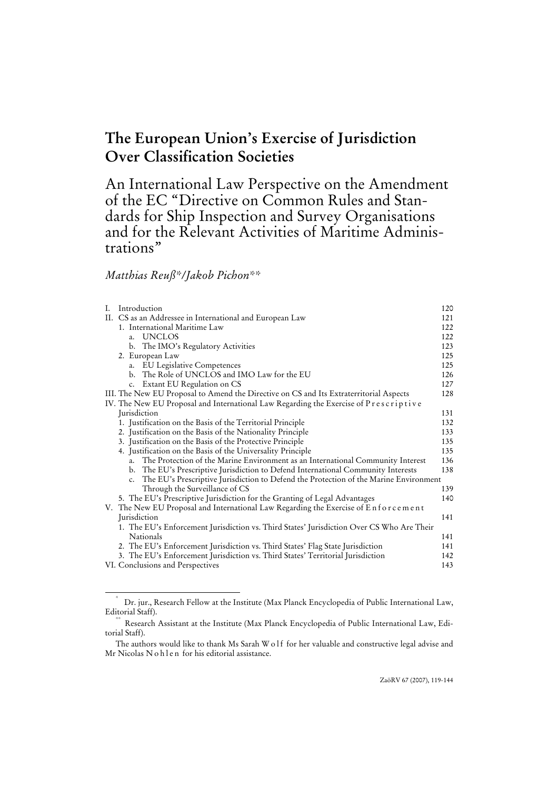# **The European Union's Exercise of Jurisdiction Over Classification Societies**

An International Law Perspective on the Amendment of the EC "Directive on Common Rules and Standards for Ship Inspection and Survey Organisations and for the Relevant Activities of Maritime Administrations"

# *Matthias Reuß\*/Jakob Pichon\*\**

|  | I. Introduction                                                                             | 120 |
|--|---------------------------------------------------------------------------------------------|-----|
|  | II. CS as an Addressee in International and European Law                                    | 121 |
|  | 1. International Maritime Law                                                               | 122 |
|  | a. UNCLOS                                                                                   | 122 |
|  | b. The IMO's Regulatory Activities                                                          | 123 |
|  | 2. European Law                                                                             | 125 |
|  | a. EU Legislative Competences                                                               | 125 |
|  | b. The Role of UNCLOS and IMO Law for the EU                                                | 126 |
|  | c. Extant EU Regulation on CS                                                               | 127 |
|  | III. The New EU Proposal to Amend the Directive on CS and Its Extraterritorial Aspects      | 128 |
|  | IV. The New EU Proposal and International Law Regarding the Exercise of Prescriptive        |     |
|  | <b>Jurisdiction</b>                                                                         | 131 |
|  | 1. Justification on the Basis of the Territorial Principle                                  | 132 |
|  | 2. Justification on the Basis of the Nationality Principle                                  | 133 |
|  | 3. Justification on the Basis of the Protective Principle                                   | 135 |
|  | 4. Justification on the Basis of the Universality Principle                                 | 135 |
|  | The Protection of the Marine Environment as an International Community Interest<br>a.       | 136 |
|  | The EU's Prescriptive Jurisdiction to Defend International Community Interests<br>b.        | 138 |
|  | The EU's Prescriptive Jurisdiction to Defend the Protection of the Marine Environment<br>c. |     |
|  | Through the Surveillance of CS                                                              | 139 |
|  | 5. The EU's Prescriptive Jurisdiction for the Granting of Legal Advantages                  | 140 |
|  | V. The New EU Proposal and International Law Regarding the Exercise of Enforcement          |     |
|  | <b>Jurisdiction</b>                                                                         | 141 |
|  | 1. The EU's Enforcement Jurisdiction vs. Third States' Jurisdiction Over CS Who Are Their   |     |
|  | Nationals                                                                                   | 141 |
|  | 2. The EU's Enforcement Jurisdiction vs. Third States' Flag State Jurisdiction              | 141 |
|  | 3. The EU's Enforcement Jurisdiction vs. Third States' Territorial Jurisdiction             | 142 |
|  | VI. Conclusions and Perspectives                                                            | 143 |

 <sup>\*</sup> Dr. jur., Research Fellow at the Institute (Max Planck Encyclopedia of Public International Law, Editorial Staff).<br>\*\* Research Assistant at the Institute (Max Planck Encyclopedia of Public International Law, Edi-

torial Staff).

The authors would like to thank Ms Sarah W o lf for her valuable and constructive legal advise and Mr Nicolas N o h l e n for his editorial assistance.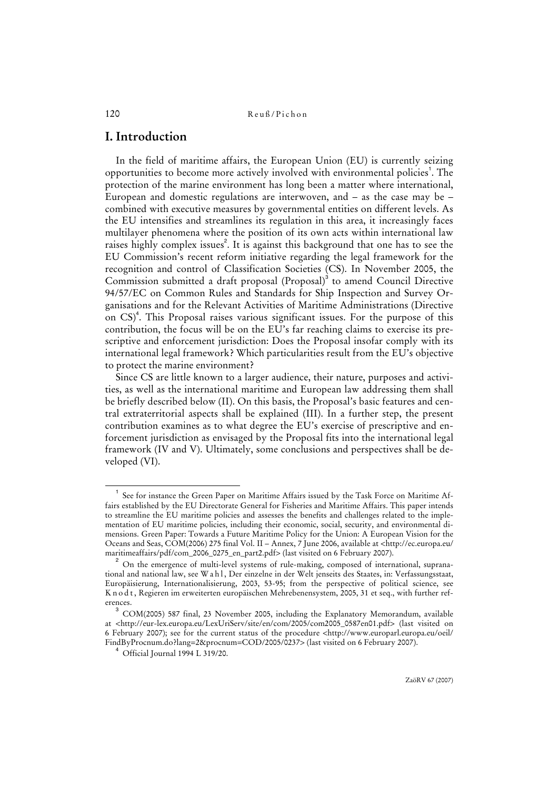# **I. Introduction**

In the field of maritime affairs, the European Union (EU) is currently seizing opportunities to become more actively involved with environmental policies<sup>1</sup>. The protection of the marine environment has long been a matter where international, European and domestic regulations are interwoven, and  $-$  as the case may be  $$ combined with executive measures by governmental entities on different levels. As the EU intensifies and streamlines its regulation in this area, it increasingly faces multilayer phenomena where the position of its own acts within international law raises highly complex issues<sup>2</sup>. It is against this background that one has to see the EU Commission's recent reform initiative regarding the legal framework for the recognition and control of Classification Societies (CS). In November 2005, the Commission submitted a draft proposal (Proposal)<sup>3</sup> to amend Council Directive 94/57/EC on Common Rules and Standards for Ship Inspection and Survey Organisations and for the Relevant Activities of Maritime Administrations (Directive on CS)<sup>4</sup>. This Proposal raises various significant issues. For the purpose of this contribution, the focus will be on the EU's far reaching claims to exercise its prescriptive and enforcement jurisdiction: Does the Proposal insofar comply with its international legal framework? Which particularities result from the EU's objective to protect the marine environment?

Since CS are little known to a larger audience, their nature, purposes and activities, as well as the international maritime and European law addressing them shall be briefly described below (II). On this basis, the Proposal's basic features and central extraterritorial aspects shall be explained (III). In a further step, the present contribution examines as to what degree the EU's exercise of prescriptive and enforcement jurisdiction as envisaged by the Proposal fits into the international legal framework (IV and V). Ultimately, some conclusions and perspectives shall be developed (VI).

 $\overline{\phantom{0}}$ <sub>1</sub> See for instance the Green Paper on Maritime Affairs issued by the Task Force on Maritime Affairs established by the EU Directorate General for Fisheries and Maritime Affairs. This paper intends to streamline the EU maritime policies and assesses the benefits and challenges related to the implementation of EU maritime policies, including their economic, social, security, and environmental dimensions. Green Paper: Towards a Future Maritime Policy for the Union: A European Vision for the Oceans and Seas, COM(2006) 275 final Vol. II – Annex, 7 June 2006, available at <http://ec.europa.eu/ maritimeaffairs/pdf/com\_2006\_0275\_en\_part2.pdf> (last visited on 6 February 2007). 2

On the emergence of multi-level systems of rule-making, composed of international, supranational and national law, see W a h l, Der einzelne in der Welt jenseits des Staates, in: Verfassungsstaat, Europäisierung, Internationalisierung, 2003, 53-95; from the perspective of political science, see K n o d t , Regieren im erweiterten europäischen Mehrebenensystem, 2005, 31 et seq., with further references.

<sup>&</sup>lt;sup>3</sup> COM(2005) 587 final, 23 November 2005, including the Explanatory Memorandum, available at <http://eur-lex.europa.eu/LexUriServ/site/en/com/2005/com2005\_0587en01.pdf> (last visited on 6 February 2007); see for the current status of the procedure <http://www.europarl.europa.eu/oeil/ FindByProcnum.do?lang=2&procnum=COD/2005/0237> (last visited on 6 February 2007).

<sup>4</sup> Official Journal 1994 L 319/20.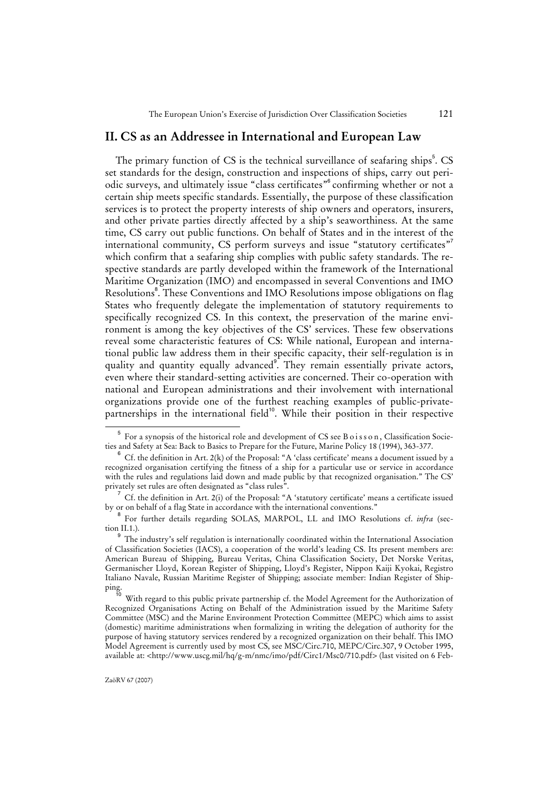# **II. CS as an Addressee in International and European Law**

The primary function of CS is the technical surveillance of seafaring ships<sup>5</sup>. CS set standards for the design, construction and inspections of ships, carry out periodic surveys, and ultimately issue "class certificates"<sup>6</sup> confirming whether or not a certain ship meets specific standards. Essentially, the purpose of these classification services is to protect the property interests of ship owners and operators, insurers, and other private parties directly affected by a ship's seaworthiness. At the same time, CS carry out public functions. On behalf of States and in the interest of the international community, CS perform surveys and issue "statutory certificates" which confirm that a seafaring ship complies with public safety standards. The respective standards are partly developed within the framework of the International Maritime Organization (IMO) and encompassed in several Conventions and IMO Resolutions<sup>8</sup>. These Conventions and IMO Resolutions impose obligations on flag States who frequently delegate the implementation of statutory requirements to specifically recognized CS. In this context, the preservation of the marine environment is among the key objectives of the CS' services. These few observations reveal some characteristic features of CS: While national, European and international public law address them in their specific capacity, their self-regulation is in quality and quantity equally advanced<sup>9</sup>. They remain essentially private actors, even where their standard-setting activities are concerned. Their co-operation with national and European administrations and their involvement with international organizations provide one of the furthest reaching examples of public-privatepartnerships in the international field<sup>10</sup>. While their position in their respective

<sup>5</sup> For a synopsis of the historical role and development of CS see B o i s s o n , Classification Societies and Safety at Sea: Back to Basics to Prepare for the Future, Marine Policy 18 (1994), 363-377.

Cf. the definition in Art. 2(k) of the Proposal: "A 'class certificate' means a document issued by a recognized organisation certifying the fitness of a ship for a particular use or service in accordance with the rules and regulations laid down and made public by that recognized organisation." The CS' privately set rules are often designated as "class rules".

 $7$  Cf. the definition in Art. 2(i) of the Proposal: "A 'statutory certificate' means a certificate issued by or on behalf of a flag State in accordance with the international conventions."

<sup>8</sup> For further details regarding SOLAS, MARPOL, LL and IMO Resolutions cf. *infra* (section II.1.).

<sup>9</sup> The industry's self regulation is internationally coordinated within the International Association of Classification Societies (IACS), a cooperation of the world's leading CS. Its present members are: American Bureau of Shipping, Bureau Veritas, China Classification Society, Det Norske Veritas, Germanischer Lloyd, Korean Register of Shipping, Lloyd's Register, Nippon Kaiji Kyokai, Registro Italiano Navale, Russian Maritime Register of Shipping; associate member: Indian Register of Shipping.

With regard to this public private partnership cf. the Model Agreement for the Authorization of Recognized Organisations Acting on Behalf of the Administration issued by the Maritime Safety Committee (MSC) and the Marine Environment Protection Committee (MEPC) which aims to assist (domestic) maritime administrations when formalizing in writing the delegation of authority for the purpose of having statutory services rendered by a recognized organization on their behalf. This IMO Model Agreement is currently used by most CS, see MSC/Circ.710, MEPC/Circ.307, 9 October 1995, available at: <http://www.uscg.mil/hq/g-m/nmc/imo/pdf/Circ1/Msc0/710.pdf> (last visited on 6 Feb-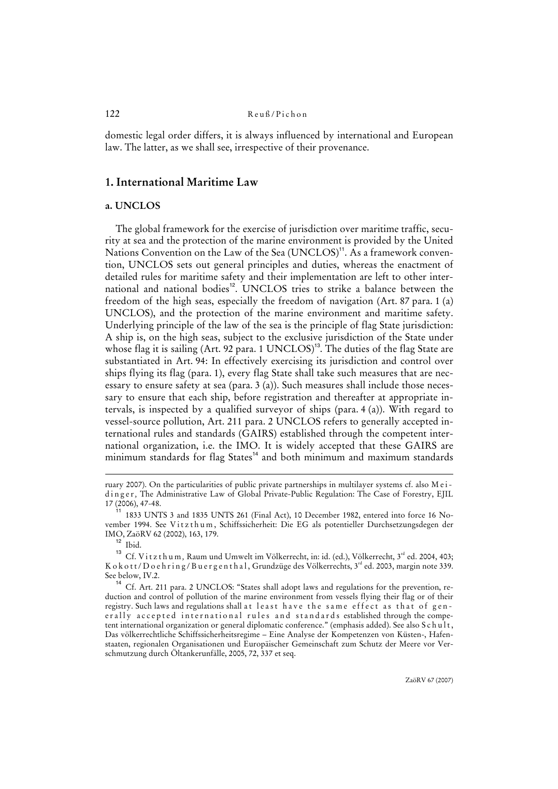domestic legal order differs, it is always influenced by international and European law. The latter, as we shall see, irrespective of their provenance.

# **1. International Maritime Law**

### **a. UNCLOS**

The global framework for the exercise of jurisdiction over maritime traffic, security at sea and the protection of the marine environment is provided by the United Nations Convention on the Law of the Sea (UNCLOS)<sup>11</sup>. As a framework convention, UNCLOS sets out general principles and duties, whereas the enactment of detailed rules for maritime safety and their implementation are left to other international and national bodies<sup>12</sup>. UNCLOS tries to strike a balance between the freedom of the high seas, especially the freedom of navigation (Art. 87 para. 1 (a) UNCLOS), and the protection of the marine environment and maritime safety. Underlying principle of the law of the sea is the principle of flag State jurisdiction: A ship is, on the high seas, subject to the exclusive jurisdiction of the State under whose flag it is sailing (Art. 92 para. 1 UNCLOS)<sup>13</sup>. The duties of the flag State are substantiated in Art. 94: In effectively exercising its jurisdiction and control over ships flying its flag (para. 1), every flag State shall take such measures that are necessary to ensure safety at sea (para. 3 (a)). Such measures shall include those necessary to ensure that each ship, before registration and thereafter at appropriate intervals, is inspected by a qualified surveyor of ships (para. 4 (a)). With regard to vessel-source pollution, Art. 211 para. 2 UNCLOS refers to generally accepted international rules and standards (GAIRS) established through the competent international organization, i.e. the IMO. It is widely accepted that these GAIRS are minimum standards for flag States<sup>14</sup> and both minimum and maximum standards

ruary 2007). On the particularities of public private partnerships in multilayer systems cf. also M e i dinger*,* The Administrative Law of Global Private-Public Regulation: The Case of Forestry, EJIL 17 (2006), 47-48.

<sup>11</sup> 1833 UNTS 3 and 1835 UNTS 261 (Final Act), 10 December 1982, entered into force 16 November 1994. See Vitzthum, Schiffssicherheit: Die EG als potentieller Durchsetzungsdegen der IMO, ZaöRV 62 (2002), 163, 179.

 $12$  Ibid.

<sup>&</sup>lt;sup>13</sup> Cf. V i t z t h u m , Raum und Umwelt im Völkerrecht, in: id. (ed.), Völkerrecht, 3<sup>rd</sup> ed. 2004, 403; Kokott/Doehring/Buergenthal, Grundzüge des Völkerrechts, 3<sup>rd</sup> ed. 2003, margin note 339. See below, IV.2.

Cf. Art. 211 para. 2 UNCLOS: "States shall adopt laws and regulations for the prevention, reduction and control of pollution of the marine environment from vessels flying their flag or of their registry. Such laws and regulations shall at least have the same effect as that of generally accepted international rules and standards established through the competent international organization or general diplomatic conference." (emphasis added). See also S c h u l t, Das völkerrechtliche Schiffssicherheitsregime – Eine Analyse der Kompetenzen von Küsten-, Hafenstaaten, regionalen Organisationen und Europäischer Gemeinschaft zum Schutz der Meere vor Verschmutzung durch Öltankerunfälle, 2005, 72, 337 et seq.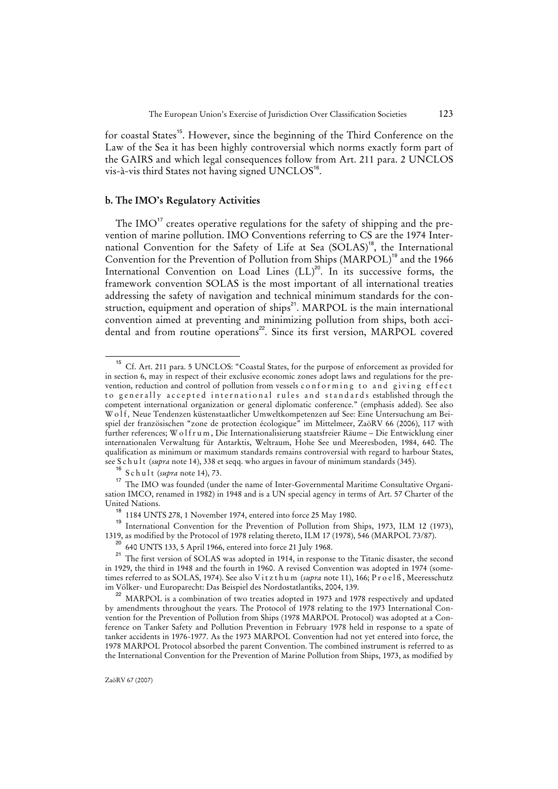for coastal States<sup>15</sup>. However, since the beginning of the Third Conference on the Law of the Sea it has been highly controversial which norms exactly form part of the GAIRS and which legal consequences follow from Art. 211 para. 2 UNCLOS vis-à-vis third States not having signed  $UNCLOS^{16}$ .

# **b. The IMO's Regulatory Activities**

The  $IMO<sup>17</sup>$  creates operative regulations for the safety of shipping and the prevention of marine pollution. IMO Conventions referring to CS are the 1974 International Convention for the Safety of Life at Sea (SOLAS)<sup>18</sup>, the International Convention for the Prevention of Pollution from Ships (MARPOL)<sup>19</sup> and the 1966 International Convention on Load Lines  $(LL)^{20}$ . In its successive forms, the framework convention SOLAS is the most important of all international treaties addressing the safety of navigation and technical minimum standards for the construction, equipment and operation of ships<sup>21</sup>. MARPOL is the main international convention aimed at preventing and minimizing pollution from ships, both accidental and from routine operations<sup>22</sup>. Since its first version, MARPOL covered

<sup>&</sup>lt;sup>15</sup> Cf. Art. 211 para. 5 UNCLOS: "Coastal States, for the purpose of enforcement as provided for in section 6, may in respect of their exclusive economic zones adopt laws and regulations for the prevention, reduction and control of pollution from vessels conforming to and giving effect to generally accepted international rules and standards established through the competent international organization or general diplomatic conference." (emphasis added). See also Wolf, Neue Tendenzen küstenstaatlicher Umweltkompetenzen auf See: Eine Untersuchung am Beispiel der französischen "zone de protection écologique" im Mittelmeer, ZaöRV 66 (2006), 117 with further references; W o l f r u m, Die Internationalisierung staatsfreier Räume – Die Entwicklung einer internationalen Verwaltung für Antarktis, Weltraum, Hohe See und Meeresboden, 1984, 640. The qualification as minimum or maximum standards remains controversial with regard to harbour States, see Schult (*supra* note 14), 338 et seqq. who argues in favour of minimum standards (345).

<sup>16</sup> Schult (*supra* note 14), 73.

<sup>17</sup> The IMO was founded (under the name of Inter-Governmental Maritime Consultative Organisation IMCO, renamed in 1982) in 1948 and is a UN special agency in terms of Art. 57 Charter of the United Nations.

<sup>18</sup> 1184 UNTS 278, 1 November 1974, entered into force 25 May 1980.

<sup>19</sup> International Convention for the Prevention of Pollution from Ships, 1973, ILM 12 (1973), 1319, as modified by the Protocol of 1978 relating thereto, ILM 17 (1978), 546 (MARPOL 73/87).

<sup>20</sup> 640 UNTS 133, 5 April 1966, entered into force 21 July 1968.

<sup>&</sup>lt;sup>21</sup> The first version of SOLAS was adopted in 1914, in response to the Titanic disaster, the second in 1929, the third in 1948 and the fourth in 1960. A revised Convention was adopted in 1974 (sometimes referred to as SOLAS, 1974). See also Vitzthum (*supra* note 11), 166; Proelß, Meeresschutz im Völker- und Europarecht: Das Beispiel des Nordostatlantiks, 2004, 139.

MARPOL is a combination of two treaties adopted in 1973 and 1978 respectively and updated by amendments throughout the years. The Protocol of 1978 relating to the 1973 International Convention for the Prevention of Pollution from Ships (1978 MARPOL Protocol) was adopted at a Conference on Tanker Safety and Pollution Prevention in February 1978 held in response to a spate of tanker accidents in 1976-1977. As the 1973 MARPOL Convention had not yet entered into force, the 1978 MARPOL Protocol absorbed the parent Convention. The combined instrument is referred to as the International Convention for the Prevention of Marine Pollution from Ships, 1973, as modified by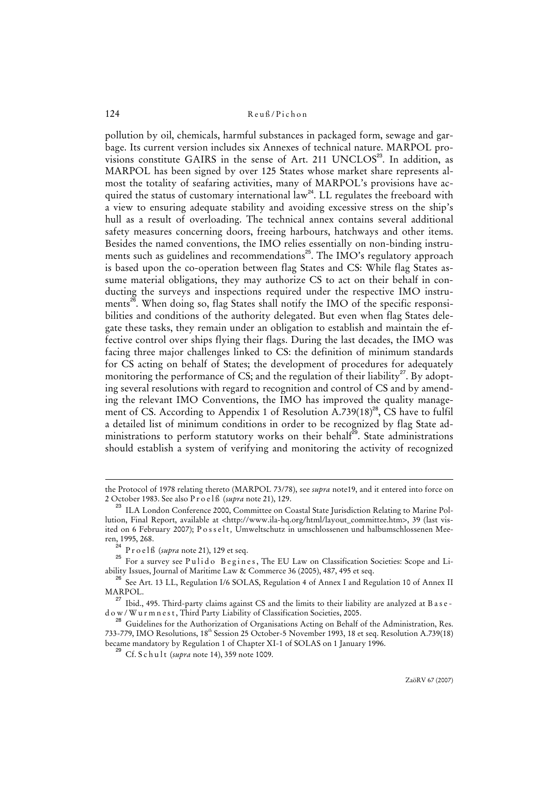pollution by oil, chemicals, harmful substances in packaged form, sewage and garbage. Its current version includes six Annexes of technical nature. MARPOL provisions constitute GAIRS in the sense of Art. 211 UNCLOS<sup>23</sup>. In addition, as MARPOL has been signed by over 125 States whose market share represents almost the totality of seafaring activities, many of MARPOL's provisions have acquired the status of customary international law<sup>24</sup>. LL regulates the freeboard with a view to ensuring adequate stability and avoiding excessive stress on the ship's hull as a result of overloading. The technical annex contains several additional safety measures concerning doors, freeing harbours, hatchways and other items. Besides the named conventions, the IMO relies essentially on non-binding instruments such as guidelines and recommendations<sup>25</sup>. The IMO's regulatory approach is based upon the co-operation between flag States and CS: While flag States assume material obligations, they may authorize CS to act on their behalf in conducting the surveys and inspections required under the respective IMO instruments<sup>26</sup>. When doing so, flag States shall notify the IMO of the specific responsibilities and conditions of the authority delegated. But even when flag States delegate these tasks, they remain under an obligation to establish and maintain the effective control over ships flying their flags. During the last decades, the IMO was facing three major challenges linked to CS: the definition of minimum standards for CS acting on behalf of States; the development of procedures for adequately monitoring the performance of CS; and the regulation of their liability<sup>27</sup>. By adopting several resolutions with regard to recognition and control of CS and by amending the relevant IMO Conventions, the IMO has improved the quality management of CS. According to Appendix 1 of Resolution A.739 $(18)^{28}$ , CS have to fulfil a detailed list of minimum conditions in order to be recognized by flag State administrations to perform statutory works on their behalf<sup>29</sup>. State administrations should establish a system of verifying and monitoring the activity of recognized

the Protocol of 1978 relating thereto (MARPOL 73/78), see *supra* note19, and it entered into force on 2 October 1983. See also P r o e l ß (*supra* note 21), 129.

<sup>&</sup>lt;sup>23</sup> ILA London Conference 2000, Committee on Coastal State Jurisdiction Relating to Marine Pollution, Final Report, available at <http://www.ila-hq.org/html/layout\_committee.htm>, 39 (last visited on 6 February 2007); P o s s e l t *,* Umweltschutz in umschlossenen und halbumschlossenen Meeren, 1995, 268.

<sup>&</sup>lt;sup>24</sup> Proelß (*supra* note 21), 129 et seq.

<sup>&</sup>lt;sup>25</sup> For a survey see Pulido Begines, The EU Law on Classification Societies: Scope and Liability Issues, Journal of Maritime Law & Commerce 36 (2005), 487, 495 et seq.

<sup>&</sup>lt;sup>26</sup> See Art. 13 LL, Regulation I/6 SOLAS, Regulation 4 of Annex I and Regulation 10 of Annex II MARPOL.

<sup>&</sup>lt;sup>27</sup> Ibid., 495. Third-party claims against CS and the limits to their liability are analyzed at B a s e d o w / W u r m n e s t , Third Party Liability of Classification Societies, 2005.

<sup>&</sup>lt;sup>28</sup> Guidelines for the Authorization of Organisations Acting on Behalf of the Administration, Res. 733-779, IMO Resolutions, 18th Session 25 October-5 November 1993, 18 et seq. Resolution A.739(18) became mandatory by Regulation 1 of Chapter XI-1 of SOLAS on 1 January 1996.

<sup>&</sup>lt;sup>29</sup> Cf. S c h u l t (*supra* note 14), 359 note 1009.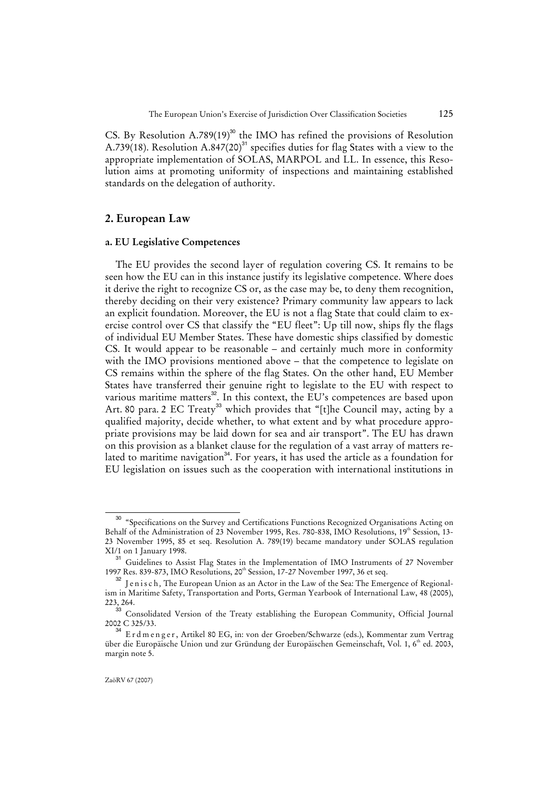CS. By Resolution A.789(19)<sup>30</sup> the IMO has refined the provisions of Resolution A.739(18). Resolution A.847(20)<sup>31</sup> specifies duties for flag States with a view to the appropriate implementation of SOLAS, MARPOL and LL. In essence, this Resolution aims at promoting uniformity of inspections and maintaining established standards on the delegation of authority.

### **2. European Law**

### **a. EU Legislative Competences**

The EU provides the second layer of regulation covering CS. It remains to be seen how the EU can in this instance justify its legislative competence. Where does it derive the right to recognize CS or, as the case may be, to deny them recognition, thereby deciding on their very existence? Primary community law appears to lack an explicit foundation. Moreover, the EU is not a flag State that could claim to exercise control over CS that classify the "EU fleet": Up till now, ships fly the flags of individual EU Member States. These have domestic ships classified by domestic CS. It would appear to be reasonable – and certainly much more in conformity with the IMO provisions mentioned above – that the competence to legislate on CS remains within the sphere of the flag States. On the other hand, EU Member States have transferred their genuine right to legislate to the EU with respect to various maritime matters<sup>32</sup>. In this context, the EU's competences are based upon Art. 80 para. 2 EC Treaty<sup>33</sup> which provides that "[t]he Council may, acting by a qualified majority, decide whether, to what extent and by what procedure appropriate provisions may be laid down for sea and air transport". The EU has drawn on this provision as a blanket clause for the regulation of a vast array of matters related to maritime navigation<sup>34</sup>. For years, it has used the article as a foundation for EU legislation on issues such as the cooperation with international institutions in

<sup>&</sup>lt;sup>30</sup> "Specifications on the Survey and Certifications Functions Recognized Organisations Acting on Behalf of the Administration of 23 November 1995, Res. 780-838, IMO Resolutions, 19<sup>th</sup> Session, 13-23 November 1995, 85 et seq. Resolution A. 789(19) became mandatory under SOLAS regulation XI/1 on 1 January 1998.

<sup>&</sup>lt;sup>31</sup> Guidelines to Assist Flag States in the Implementation of IMO Instruments of 27 November 1997 Res. 839-873, IMO Resolutions, 20th Session, 17-27 November 1997, 36 et seq.

<sup>&</sup>lt;sup>32</sup> Jenisch, The European Union as an Actor in the Law of the Sea: The Emergence of Regionalism in Maritime Safety, Transportation and Ports, German Yearbook of International Law, 48 (2005), 223, 264.

<sup>&</sup>lt;sup>33</sup> Consolidated Version of the Treaty establishing the European Community, Official Journal 2002 C 325/33.

<sup>34</sup> E r d m e n g e r , Artikel 80 EG, in: von der Groeben/Schwarze (eds.), Kommentar zum Vertrag über die Europäische Union und zur Gründung der Europäischen Gemeinschaft, Vol. 1, 6<sup>th</sup> ed. 2003, margin note 5.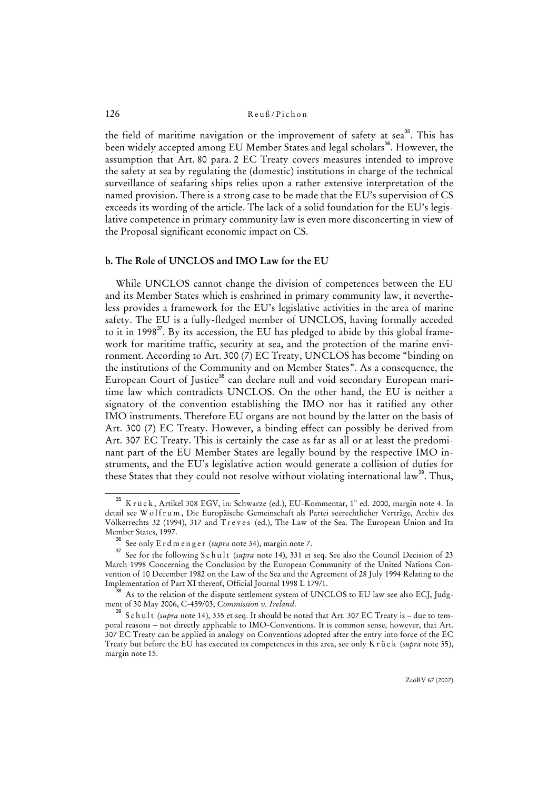the field of maritime navigation or the improvement of safety at sea<sup>35</sup>. This has been widely accepted among EU Member States and legal scholars<sup>36</sup>. However, the assumption that Art. 80 para. 2 EC Treaty covers measures intended to improve the safety at sea by regulating the (domestic) institutions in charge of the technical surveillance of seafaring ships relies upon a rather extensive interpretation of the named provision. There is a strong case to be made that the EU's supervision of CS exceeds its wording of the article. The lack of a solid foundation for the EU's legislative competence in primary community law is even more disconcerting in view of the Proposal significant economic impact on CS.

### **b. The Role of UNCLOS and IMO Law for the EU**

While UNCLOS cannot change the division of competences between the EU and its Member States which is enshrined in primary community law, it nevertheless provides a framework for the EU's legislative activities in the area of marine safety. The EU is a fully-fledged member of UNCLOS, having formally acceded to it in  $1998<sup>37</sup>$ . By its accession, the EU has pledged to abide by this global framework for maritime traffic, security at sea, and the protection of the marine environment. According to Art. 300 (7) EC Treaty, UNCLOS has become "binding on the institutions of the Community and on Member States". As a consequence, the European Court of Justice<sup>38</sup> can declare null and void secondary European maritime law which contradicts UNCLOS. On the other hand, the EU is neither a signatory of the convention establishing the IMO nor has it ratified any other IMO instruments. Therefore EU organs are not bound by the latter on the basis of Art. 300 (7) EC Treaty. However, a binding effect can possibly be derived from Art. 307 EC Treaty. This is certainly the case as far as all or at least the predominant part of the EU Member States are legally bound by the respective IMO instruments, and the EU's legislative action would generate a collision of duties for these States that they could not resolve without violating international law<sup>39</sup>. Thus,

K r ü c k, Artikel 308 EGV, in: Schwarze (ed.), EU-Kommentar, 1st ed. 2000, margin note 4. In detail see W o l f r u m, Die Europäische Gemeinschaft als Partei seerechtlicher Verträge, Archiv des Völkerrechts 32 (1994), 317 and Treves (ed.), The Law of the Sea. The European Union and Its Member States, 1997.

<sup>&</sup>lt;sup>36</sup> See only E r d m e n g e r (*supra* note 34), margin note 7.

See for the following S c h u l t (*supra* note 14), 331 et seq. See also the Council Decision of 23 March 1998 Concerning the Conclusion by the European Community of the United Nations Convention of 10 December 1982 on the Law of the Sea and the Agreement of 28 July 1994 Relating to the Implementation of Part XI thereof, Official Journal 1998 L 179/1.

 $^{\rm 38}$  As to the relation of the dispute settlement system of UNCLOS to EU law see also ECJ, Judgment of 30 May 2006, C-459/03, *Commission v. Ireland*.

<sup>39</sup> Schult (*supra* note 14), 335 et seq. It should be noted that Art. 307 EC Treaty is – due to temporal reasons – not directly applicable to IMO-Conventions. It is common sense, however, that Art. 307 EC Treaty can be applied in analogy on Conventions adopted after the entry into force of the EC Treaty but before the EU has executed its competences in this area, see only K r ü c k (*supra* note 35), margin note 15.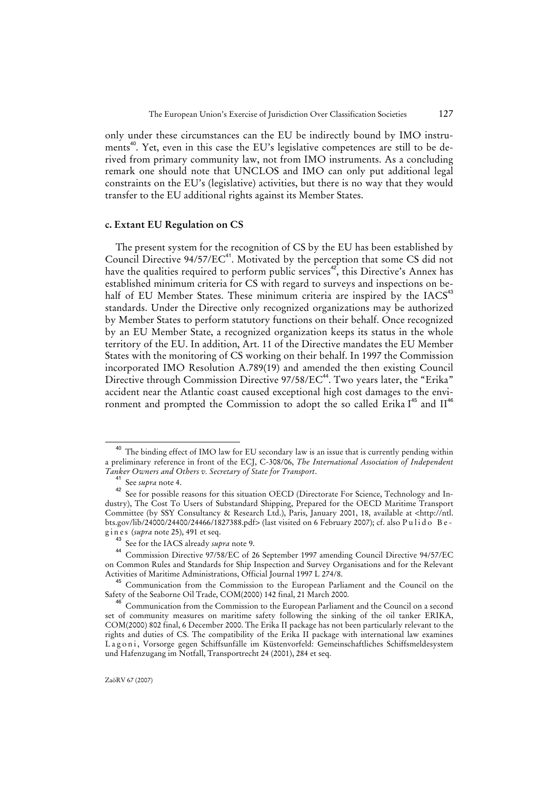only under these circumstances can the EU be indirectly bound by IMO instruments<sup>40</sup>. Yet, even in this case the EU's legislative competences are still to be derived from primary community law, not from IMO instruments. As a concluding remark one should note that UNCLOS and IMO can only put additional legal constraints on the EU's (legislative) activities, but there is no way that they would transfer to the EU additional rights against its Member States.

#### **c. Extant EU Regulation on CS**

The present system for the recognition of CS by the EU has been established by Council Directive 94/57/EC<sup>41</sup>. Motivated by the perception that some CS did not have the qualities required to perform public services<sup>42</sup>, this Directive's Annex has established minimum criteria for CS with regard to surveys and inspections on behalf of EU Member States. These minimum criteria are inspired by the  $IACS^{43}$ standards. Under the Directive only recognized organizations may be authorized by Member States to perform statutory functions on their behalf. Once recognized by an EU Member State, a recognized organization keeps its status in the whole territory of the EU. In addition, Art. 11 of the Directive mandates the EU Member States with the monitoring of CS working on their behalf. In 1997 the Commission incorporated IMO Resolution A.789(19) and amended the then existing Council Directive through Commission Directive 97/58/EC<sup>44</sup>. Two years later, the "Erika" accident near the Atlantic coast caused exceptional high cost damages to the environment and prompted the Commission to adopt the so called Erika  $I^{45}$  and  $II^{46}$ 

The binding effect of IMO law for EU secondary law is an issue that is currently pending within a preliminary reference in front of the ECJ, C-308/06, *The International Association of Independent Tanker Owners and Others v. Secretary of State for Transport*.

See *supra* note 4.

<sup>&</sup>lt;sup>42</sup> See for possible reasons for this situation OECD (Directorate For Science, Technology and Industry), The Cost To Users of Substandard Shipping, Prepared for the OECD Maritime Transport Committee (by SSY Consultancy & Research Ltd.), Paris, January 2001, 18, available at <http://ntl. bts.gov/lib/24000/24400/24466/1827388.pdf> (last visited on 6 February 2007); cf. also Pulido Begines (*supra* note 25), 491 et seq.

<sup>43</sup> See for the IACS already *supra* note 9.

<sup>44</sup> Commission Directive 97/58/EC of 26 September 1997 amending Council Directive 94/57/EC on Common Rules and Standards for Ship Inspection and Survey Organisations and for the Relevant Activities of Maritime Administrations, Official Journal 1997 L 274/8.

<sup>45</sup> Communication from the Commission to the European Parliament and the Council on the Safety of the Seaborne Oil Trade, COM(2000) 142 final, 21 March 2000.

Communication from the Commission to the European Parliament and the Council on a second set of community measures on maritime safety following the sinking of the oil tanker ERIKA, COM(2000) 802 final, 6 December 2000. The Erika II package has not been particularly relevant to the rights and duties of CS. The compatibility of the Erika II package with international law examines Lagoni, Vorsorge gegen Schiffsunfälle im Küstenvorfeld: Gemeinschaftliches Schiffsmeldesystem und Hafenzugang im Notfall, Transportrecht 24 (2001), 284 et seq.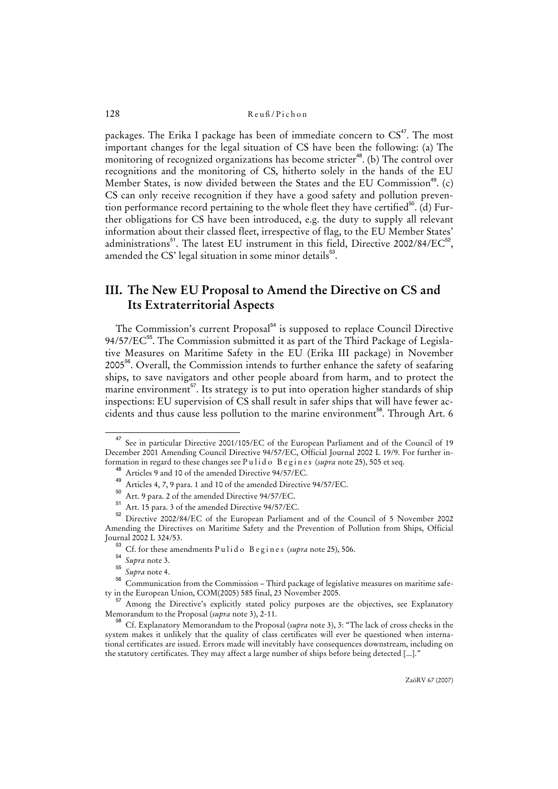packages. The Erika I package has been of immediate concern to  $CS^{47}$ . The most important changes for the legal situation of CS have been the following: (a) The monitoring of recognized organizations has become stricter<sup>48</sup>. (b) The control over recognitions and the monitoring of CS, hitherto solely in the hands of the EU Member States, is now divided between the States and the EU Commission<sup>49</sup>. (c) CS can only receive recognition if they have a good safety and pollution prevention performance record pertaining to the whole fleet they have certified<sup>50</sup>. (d) Further obligations for CS have been introduced, e.g. the duty to supply all relevant information about their classed fleet, irrespective of flag, to the EU Member States' administrations $^{51}$ . The latest EU instrument in this field, Directive 2002/84/EC $^{52}$ , amended the CS' legal situation in some minor details $^{53}$ .

# **III. The New EU Proposal to Amend the Directive on CS and Its Extraterritorial Aspects**

The Commission's current Proposal<sup>54</sup> is supposed to replace Council Directive 94/57/EC<sup>55</sup>. The Commission submitted it as part of the Third Package of Legislative Measures on Maritime Safety in the EU (Erika III package) in November 2005<sup>56</sup>. Overall, the Commission intends to further enhance the safety of seafaring ships, to save navigators and other people aboard from harm, and to protect the marine environment<sup>57</sup>. Its strategy is to put into operation higher standards of ship inspections: EU supervision of CS shall result in safer ships that will have fewer accidents and thus cause less pollution to the marine environment<sup>58</sup>. Through Art. 6

<sup>47</sup> See in particular Directive 2001/105/EC of the European Parliament and of the Council of 19 December 2001 Amending Council Directive 94/57/EC, Official Journal 2002 L 19/9. For further information in regard to these changes see P u l i d o B e g i n e s (*supra* note 25), 505 et seq.

<sup>48</sup> Articles 9 and 10 of the amended Directive 94/57/EC.

Articles 7 and 10 of the amended Directive 94/57/EC.<br>49 Articles 4, 7, 9 para. 1 and 10 of the amended Directive 94/57/EC.

 $50$  Art. 9 para. 2 of the amended Directive 94/57/EC.

Art. 15 para. 3 of the amended Directive 94/57/EC.

<sup>52</sup> Directive 2002/84/EC of the European Parliament and of the Council of 5 November 2002 Amending the Directives on Maritime Safety and the Prevention of Pollution from Ships, Official Journal 2002 L 324/53.

 $^{53}$  Cf. for these amendments Pulido B e g in e s (*supra* note 25), 506.

<sup>54</sup> *Supra* note 3.

<sup>55</sup> *Supra* note 4.

 $56$  Communication from the Commission – Third package of legislative measures on maritime safety in the European Union, COM(2005) 585 final, 23 November 2005.

<sup>&</sup>lt;sup>57</sup> Among the Directive's explicitly stated policy purposes are the objectives, see Explanatory Memorandum to the Proposal (*supra* note 3), 2-11.

<sup>58</sup> Cf. Explanatory Memorandum to the Proposal (*supra* note 3), 3: "The lack of cross checks in the system makes it unlikely that the quality of class certificates will ever be questioned when international certificates are issued. Errors made will inevitably have consequences downstream, including on the statutory certificates. They may affect a large number of ships before being detected [...]."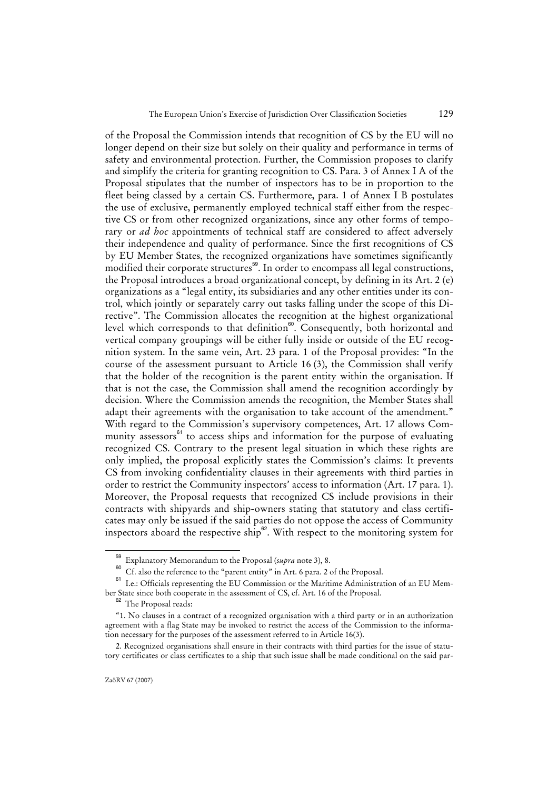of the Proposal the Commission intends that recognition of CS by the EU will no longer depend on their size but solely on their quality and performance in terms of safety and environmental protection. Further, the Commission proposes to clarify and simplify the criteria for granting recognition to CS. Para. 3 of Annex I A of the Proposal stipulates that the number of inspectors has to be in proportion to the fleet being classed by a certain CS. Furthermore, para. 1 of Annex I B postulates the use of exclusive, permanently employed technical staff either from the respective CS or from other recognized organizations, since any other forms of temporary or *ad hoc* appointments of technical staff are considered to affect adversely their independence and quality of performance. Since the first recognitions of CS by EU Member States, the recognized organizations have sometimes significantly modified their corporate structures<sup>59</sup>. In order to encompass all legal constructions, the Proposal introduces a broad organizational concept, by defining in its Art. 2 (e) organizations as a "legal entity, its subsidiaries and any other entities under its control, which jointly or separately carry out tasks falling under the scope of this Directive". The Commission allocates the recognition at the highest organizational level which corresponds to that definition<sup>60</sup>. Consequently, both horizontal and vertical company groupings will be either fully inside or outside of the EU recognition system. In the same vein, Art. 23 para. 1 of the Proposal provides: "In the course of the assessment pursuant to Article 16 (3), the Commission shall verify that the holder of the recognition is the parent entity within the organisation. If that is not the case, the Commission shall amend the recognition accordingly by decision. Where the Commission amends the recognition, the Member States shall adapt their agreements with the organisation to take account of the amendment." With regard to the Commission's supervisory competences, Art. 17 allows Community assessors<sup>61</sup> to access ships and information for the purpose of evaluating recognized CS. Contrary to the present legal situation in which these rights are only implied, the proposal explicitly states the Commission's claims: It prevents CS from invoking confidentiality clauses in their agreements with third parties in order to restrict the Community inspectors' access to information (Art. 17 para. 1). Moreover, the Proposal requests that recognized CS include provisions in their contracts with shipyards and ship-owners stating that statutory and class certificates may only be issued if the said parties do not oppose the access of Community inspectors aboard the respective ship $62$ . With respect to the monitoring system for

<sup>59</sup> Explanatory Memorandum to the Proposal (*supra* note 3), 8.

Cf. also the reference to the "parent entity" in Art. 6 para. 2 of the Proposal.

<sup>61</sup> I.e.: Officials representing the EU Commission or the Maritime Administration of an EU Member State since both cooperate in the assessment of CS, cf. Art. 16 of the Proposal.

<sup>62</sup> The Proposal reads:

<sup>&</sup>quot;1. No clauses in a contract of a recognized organisation with a third party or in an authorization agreement with a flag State may be invoked to restrict the access of the Commission to the information necessary for the purposes of the assessment referred to in Article 16(3).

<sup>2.</sup> Recognized organisations shall ensure in their contracts with third parties for the issue of statutory certificates or class certificates to a ship that such issue shall be made conditional on the said par-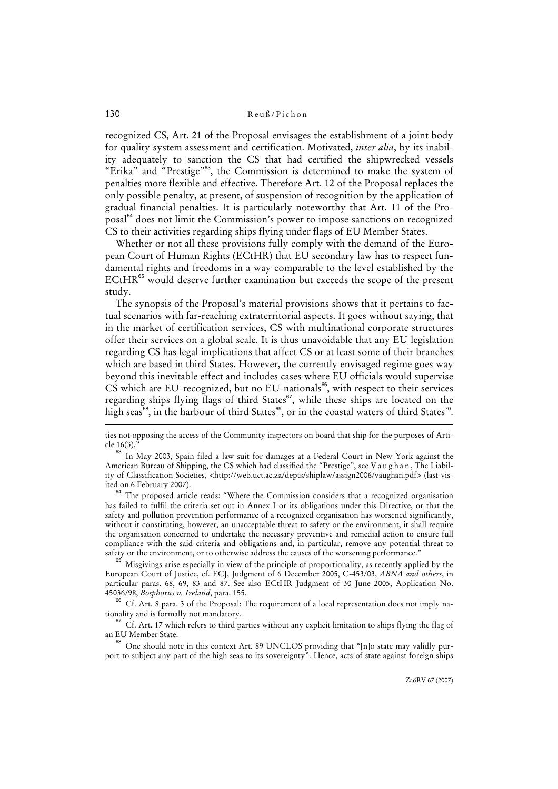recognized CS, Art. 21 of the Proposal envisages the establishment of a joint body for quality system assessment and certification. Motivated, *inter alia*, by its inability adequately to sanction the CS that had certified the shipwrecked vessels "Erika" and "Prestige"<sup>63</sup>, the Commission is determined to make the system of penalties more flexible and effective. Therefore Art. 12 of the Proposal replaces the only possible penalty, at present, of suspension of recognition by the application of gradual financial penalties. It is particularly noteworthy that Art. 11 of the Proposal<sup>64</sup> does not limit the Commission's power to impose sanctions on recognized CS to their activities regarding ships flying under flags of EU Member States.

Whether or not all these provisions fully comply with the demand of the European Court of Human Rights (ECtHR) that EU secondary law has to respect fundamental rights and freedoms in a way comparable to the level established by the  $ECHR^{65}$  would deserve further examination but exceeds the scope of the present study.

The synopsis of the Proposal's material provisions shows that it pertains to factual scenarios with far-reaching extraterritorial aspects. It goes without saying, that in the market of certification services, CS with multinational corporate structures offer their services on a global scale. It is thus unavoidable that any EU legislation regarding CS has legal implications that affect CS or at least some of their branches which are based in third States. However, the currently envisaged regime goes way beyond this inevitable effect and includes cases where EU officials would supervise  $CS$  which are EU-recognized, but no EU-nationals<sup>66</sup>, with respect to their services regarding ships flying flags of third States<sup>67</sup>, while these ships are located on the high seas $^{68}$ , in the harbour of third States $^{69}$ , or in the coastal waters of third States $^{70}$ .

<sup>64</sup> The proposed article reads: "Where the Commission considers that a recognized organisation has failed to fulfil the criteria set out in Annex I or its obligations under this Directive, or that the safety and pollution prevention performance of a recognized organisation has worsened significantly, without it constituting, however, an unacceptable threat to safety or the environment, it shall require the organisation concerned to undertake the necessary preventive and remedial action to ensure full compliance with the said criteria and obligations and, in particular, remove any potential threat to safety or the environment, or to otherwise address the causes of the worsening performance."

<sup>65</sup> Misgivings arise especially in view of the principle of proportionality, as recently applied by the European Court of Justice, cf. ECJ, Judgment of 6 December 2005, C-453/03, *ABNA and others*, in particular paras. 68, 69, 83 and 87. See also ECtHR Judgment of 30 June 2005, Application No. 45036/98, *Bosphorus v. Ireland*, para. 155.

<sup>66</sup> Cf. Art. 8 para. 3 of the Proposal: The requirement of a local representation does not imply nationality and is formally not mandatory.

 $67$  Cf. Art. 17 which refers to third parties without any explicit limitation to ships flying the flag of an EU Member State.

<sup>68</sup> One should note in this context Art. 89 UNCLOS providing that "[n]o state may validly purport to subject any part of the high seas to its sovereignty". Hence, acts of state against foreign ships

ties not opposing the access of the Community inspectors on board that ship for the purposes of Article 16(3).'

 $^{63}$  In May 2003, Spain filed a law suit for damages at a Federal Court in New York against the American Bureau of Shipping, the CS which had classified the "Prestige", see V a u g h a n, The Liability of Classification Societies, <http://web.uct.ac.za/depts/shiplaw/assign2006/vaughan.pdf> (last visited on 6 February 2007).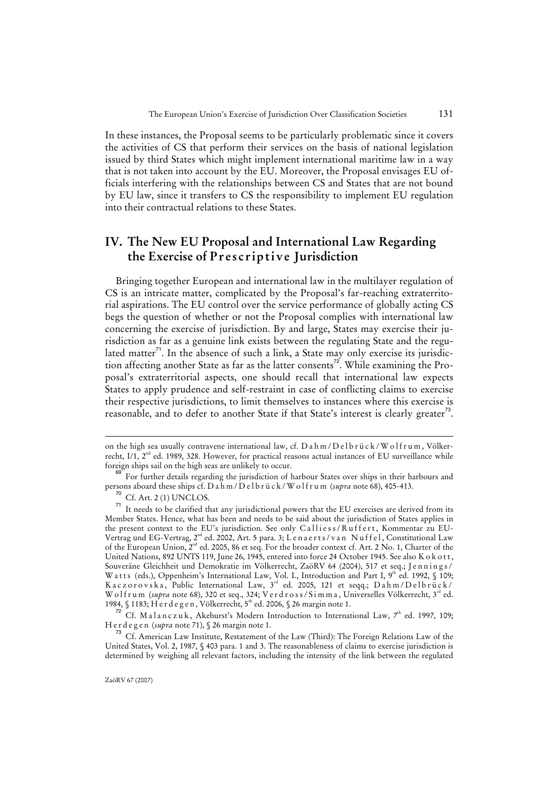In these instances, the Proposal seems to be particularly problematic since it covers the activities of CS that perform their services on the basis of national legislation issued by third States which might implement international maritime law in a way that is not taken into account by the EU. Moreover, the Proposal envisages EU officials interfering with the relationships between CS and States that are not bound by EU law, since it transfers to CS the responsibility to implement EU regulation into their contractual relations to these States.

# **IV. The New EU Proposal and International Law Regarding the Exercise of Prescriptive Jurisdiction**

Bringing together European and international law in the multilayer regulation of CS is an intricate matter, complicated by the Proposal's far-reaching extraterritorial aspirations. The EU control over the service performance of globally acting CS begs the question of whether or not the Proposal complies with international law concerning the exercise of jurisdiction. By and large, States may exercise their jurisdiction as far as a genuine link exists between the regulating State and the regulated matter $^{71}$ . In the absence of such a link, a State may only exercise its jurisdiction affecting another State as far as the latter consents<sup>72</sup>. While examining the Proposal's extraterritorial aspects, one should recall that international law expects States to apply prudence and self-restraint in case of conflicting claims to exercise their respective jurisdictions, to limit themselves to instances where this exercise is reasonable, and to defer to another State if that State's interest is clearly greater $^{73}$ .

on the high sea usually contravene international law, cf. D a h m / D e l b r ü c k / W o l f r u m, Völkerrecht, I/1, 2<sup>nd</sup> ed. 1989, 328. However, for practical reasons actual instances of EU surveillance while foreign ships sail on the high seas are unlikely to occur.

<sup>&</sup>lt;sup>9</sup> For further details regarding the jurisdiction of harbour States over ships in their harbours and persons aboard these ships cf. D a h m / D e l b r ü c k / W o l f r u m (*supra* note 68), 405-413.

 $^{70}$  Cf. Art. 2 (1) UNCLOS.

It needs to be clarified that any jurisdictional powers that the EU exercises are derived from its Member States. Hence, what has been and needs to be said about the jurisdiction of States applies in the present context to the EU's jurisdiction. See only Calliess/Ruffert, Kommentar zu EU-Vertrag und EG-Vertrag, 2<sup>nd</sup> ed. 2002, Art. 5 para. 3; L e n a e r t s / v a n N u f f e l , Constitutional Law of the European Union, 2<sup>nd</sup> ed. 2005, 86 et seq. For the broader context cf. Art. 2 No. 1, Charter of the United Nations, 892 UNTS 119, June 26, 1945, entered into force 24 October 1945. See also K o k o t t, Souveräne Gleichheit und Demokratie im Völkerrecht, ZaöRV 64 (2004), 517 et seq.; Jennings/ W a t t s (eds.), Oppenheim's International Law, Vol. I., Introduction and Part I, 9th ed. 1992, § 109; Kaczorovska, Public International Law, 3<sup>rd</sup> ed. 2005, 121 et seqq.; Dahm/Delbrück/ Wolfrum (*supra* note 68), 320 et seq., 324; V e r d r o s s / S i m m a , Universelles Völkerrecht, 3rd ed. 1984, § 1183; Herdegen, Völkerrecht, 5<sup>th</sup> ed. 2006, § 26 margin note 1.

 $72^{\circ}$  Cf. Malanczuk, Akehurst's Modern Introduction to International Law, 7<sup>th</sup> ed. 1997, 109; Herdegen (*supra* note 71), § 26 margin note 1.

<sup>73</sup> Cf. American Law Institute, Restatement of the Law (Third): The Foreign Relations Law of the United States, Vol. 2, 1987, § 403 para. 1 and 3. The reasonableness of claims to exercise jurisdiction is determined by weighing all relevant factors, including the intensity of the link between the regulated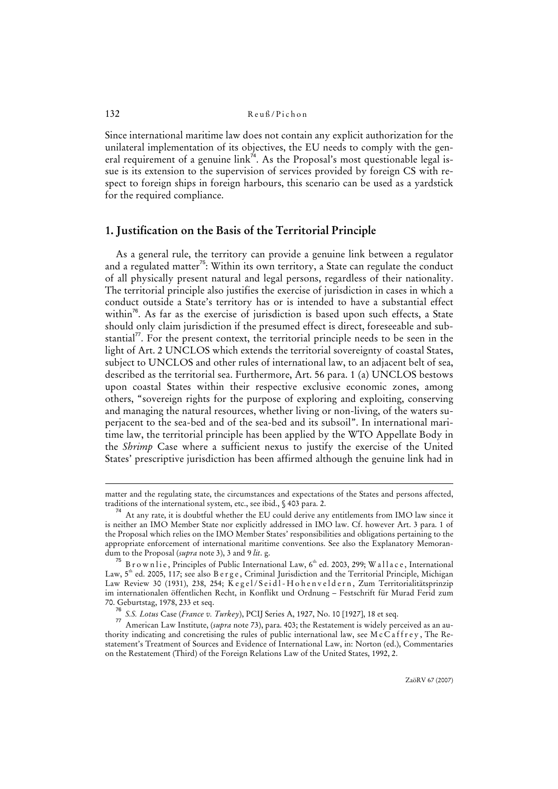Since international maritime law does not contain any explicit authorization for the unilateral implementation of its objectives, the EU needs to comply with the general requirement of a genuine  $\lim_{x \to 0} \frac{1}{x}$ . As the Proposal's most questionable legal issue is its extension to the supervision of services provided by foreign CS with respect to foreign ships in foreign harbours, this scenario can be used as a yardstick for the required compliance.

# **1. Justification on the Basis of the Territorial Principle**

As a general rule, the territory can provide a genuine link between a regulator and a regulated matter<sup>75</sup>: Within its own territory, a State can regulate the conduct of all physically present natural and legal persons, regardless of their nationality. The territorial principle also justifies the exercise of jurisdiction in cases in which a conduct outside a State's territory has or is intended to have a substantial effect within<sup>76</sup>. As far as the exercise of jurisdiction is based upon such effects, a State should only claim jurisdiction if the presumed effect is direct, foreseeable and substantial $^7$ . For the present context, the territorial principle needs to be seen in the light of Art. 2 UNCLOS which extends the territorial sovereignty of coastal States, subject to UNCLOS and other rules of international law, to an adjacent belt of sea, described as the territorial sea. Furthermore, Art. 56 para. 1 (a) UNCLOS bestows upon coastal States within their respective exclusive economic zones, among others, "sovereign rights for the purpose of exploring and exploiting, conserving and managing the natural resources, whether living or non-living, of the waters superjacent to the sea-bed and of the sea-bed and its subsoil". In international maritime law, the territorial principle has been applied by the WTO Appellate Body in the *Shrimp* Case where a sufficient nexus to justify the exercise of the United States' prescriptive jurisdiction has been affirmed although the genuine link had in

matter and the regulating state, the circumstances and expectations of the States and persons affected, traditions of the international system, etc., see ibid., § 403 para. 2.

At any rate, it is doubtful whether the EU could derive any entitlements from IMO law since it is neither an IMO Member State nor explicitly addressed in IMO law. Cf. however Art. 3 para. 1 of the Proposal which relies on the IMO Member States' responsibilities and obligations pertaining to the appropriate enforcement of international maritime conventions. See also the Explanatory Memorandum to the Proposal (*supra* note 3), 3 and 9 *lit*. g.

B r o w n l i e, Principles of Public International Law, 6<sup>th</sup> ed. 2003, 299; W a l l a c e, International Law,  $5<sup>th</sup>$  ed. 2005, 117; see also B e r g e , Criminal Jurisdiction and the Territorial Principle, Michigan Law Review 30 (1931), 238, 254; Kegel/Seidl-Hohenveldern, Zum Territorialitätsprinzip im internationalen öffentlichen Recht, in Konflikt und Ordnung – Festschrift für Murad Ferid zum 70. Geburtstag, 1978, 233 et seq.

<sup>76</sup> *S.S. Lotus* Case (*France v. Turkey*), PCIJ Series A, 1927, No. 10 [1927], 18 et seq.

<sup>77</sup> American Law Institute, (*supra* note 73), para. 403; the Restatement is widely perceived as an authority indicating and concretising the rules of public international law, see McCaffrey, The Restatement's Treatment of Sources and Evidence of International Law, in: Norton (ed.), Commentaries on the Restatement (Third) of the Foreign Relations Law of the United States, 1992, 2.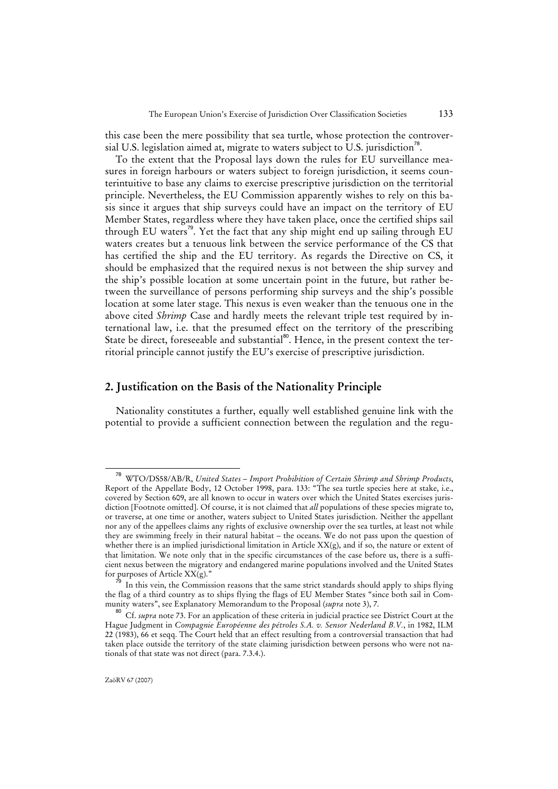this case been the mere possibility that sea turtle, whose protection the controversial U.S. legislation aimed at, migrate to waters subject to U.S. jurisdiction<sup>78</sup>.

To the extent that the Proposal lays down the rules for EU surveillance measures in foreign harbours or waters subject to foreign jurisdiction, it seems counterintuitive to base any claims to exercise prescriptive jurisdiction on the territorial principle. Nevertheless, the EU Commission apparently wishes to rely on this basis since it argues that ship surveys could have an impact on the territory of EU Member States, regardless where they have taken place, once the certified ships sail through EU waters<sup>79</sup>. Yet the fact that any ship might end up sailing through EU waters creates but a tenuous link between the service performance of the CS that has certified the ship and the EU territory. As regards the Directive on CS, it should be emphasized that the required nexus is not between the ship survey and the ship's possible location at some uncertain point in the future, but rather between the surveillance of persons performing ship surveys and the ship's possible location at some later stage. This nexus is even weaker than the tenuous one in the above cited *Shrimp* Case and hardly meets the relevant triple test required by international law, i.e. that the presumed effect on the territory of the prescribing State be direct, foreseeable and substantial<sup>80</sup>. Hence, in the present context the territorial principle cannot justify the EU's exercise of prescriptive jurisdiction.

## **2. Justification on the Basis of the Nationality Principle**

Nationality constitutes a further, equally well established genuine link with the potential to provide a sufficient connection between the regulation and the regu-

<sup>78</sup> WTO/DS58/AB/R, *United States – Import Prohibition of Certain Shrimp and Shrimp Products*, Report of the Appellate Body, 12 October 1998, para. 133: "The sea turtle species here at stake, i.e., covered by Section 609, are all known to occur in waters over which the United States exercises jurisdiction [Footnote omitted]. Of course, it is not claimed that *all* populations of these species migrate to, or traverse, at one time or another, waters subject to United States jurisdiction. Neither the appellant nor any of the appellees claims any rights of exclusive ownership over the sea turtles, at least not while they are swimming freely in their natural habitat – the oceans. We do not pass upon the question of whether there is an implied jurisdictional limitation in Article XX(g), and if so, the nature or extent of that limitation. We note only that in the specific circumstances of the case before us, there is a sufficient nexus between the migratory and endangered marine populations involved and the United States for purposes of Article XX(g)."

In this vein, the Commission reasons that the same strict standards should apply to ships flying the flag of a third country as to ships flying the flags of EU Member States "since both sail in Community waters", see Explanatory Memorandum to the Proposal (*supra* note 3), 7.

<sup>80</sup> Cf. *supra* note 73. For an application of these criteria in judicial practice see District Court at the Hague Judgment in *Compagnie Européenne des pétroles S.A. v. Sensor Nederland B.V.*, in 1982, ILM 22 (1983), 66 et seqq. The Court held that an effect resulting from a controversial transaction that had taken place outside the territory of the state claiming jurisdiction between persons who were not nationals of that state was not direct (para. 7.3.4.).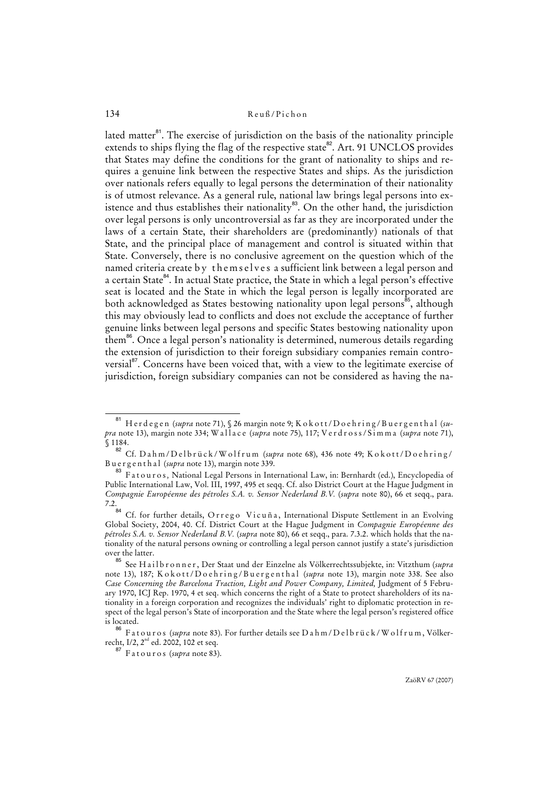lated matter $^{81}$ . The exercise of jurisdiction on the basis of the nationality principle extends to ships flying the flag of the respective state<sup>82</sup>. Art. 91 UNCLOS provides that States may define the conditions for the grant of nationality to ships and requires a genuine link between the respective States and ships. As the jurisdiction over nationals refers equally to legal persons the determination of their nationality is of utmost relevance. As a general rule, national law brings legal persons into existence and thus establishes their nationality $^{83}$ . On the other hand, the jurisdiction over legal persons is only uncontroversial as far as they are incorporated under the laws of a certain State, their shareholders are (predominantly) nationals of that State, and the principal place of management and control is situated within that State. Conversely, there is no conclusive agreement on the question which of the named criteria create by themselves a sufficient link between a legal person and a certain State<sup>84</sup>. In actual State practice, the State in which a legal person's effective seat is located and the State in which the legal person is legally incorporated are both acknowledged as States bestowing nationality upon legal persons<sup>85</sup>, although this may obviously lead to conflicts and does not exclude the acceptance of further genuine links between legal persons and specific States bestowing nationality upon them<sup>86</sup>. Once a legal person's nationality is determined, numerous details regarding the extension of jurisdiction to their foreign subsidiary companies remain controversial<sup>87</sup>. Concerns have been voiced that, with a view to the legitimate exercise of jurisdiction, foreign subsidiary companies can not be considered as having the na-

<sup>&</sup>lt;sup>81</sup> Herdegen (*supra* note 71), § 26 margin note 9; K o k o t t / D o e h r i n g / B u e r g e n t h a l (su*pra* note 13), margin note 334; W all a c e (*supra* note 75), 117; V e r d r o s s / S i m m a (*supra* note 71), § 1184.

<sup>82</sup> Cf. Dahm/Delbrück/Wolfrum (*supra* note 68), 436 note 49; K okott/Doehring/ Buergenthal (*supra* note 13), margin note 339.

<sup>83</sup> Fatouros*,* National Legal Persons in International Law, in: Bernhardt (ed.), Encyclopedia of Public International Law, Vol. III, 1997, 495 et seqq. Cf. also District Court at the Hague Judgment in *Compagnie Européenne des pétroles S.A. v. Sensor Nederland B.V.* (*supra* note 80), 66 et seqq., para.  $7.2.84$ 

Cf. for further details, Orrego Vicuña, International Dispute Settlement in an Evolving Global Society, 2004, 40. Cf. District Court at the Hague Judgment in *Compagnie Européenne des pétroles S.A. v. Sensor Nederland B.V.* (*supra* note 80), 66 et seqq., para. 7.3.2. which holds that the nationality of the natural persons owning or controlling a legal person cannot justify a state's jurisdiction over the latter.

<sup>85</sup> See H a i l b r o n n e r , Der Staat und der Einzelne als Völkerrechtssubjekte, in: Vitzthum (*supra* note 13), 187; K o k o t t / D o e h r i n g / B u e r g e n t h a l (supra note 13), margin note 338. See also *Case Concerning the Barcelona Traction, Light and Power Company, Limited,* Judgment of 5 February 1970, ICJ Rep. 1970, 4 et seq. which concerns the right of a State to protect shareholders of its nationality in a foreign corporation and recognizes the individuals' right to diplomatic protection in respect of the legal person's State of incorporation and the State where the legal person's registered office is located.

<sup>&</sup>lt;sup>86</sup> Fatouros (*supra* note 83). For further details see D a h m / D e l b r ü c k / W o l f r u m , Völkerrecht, I/2, 2<sup>nd</sup> ed. 2002, 102 et seq.

<sup>87</sup> Fatouros (*supra* note 83).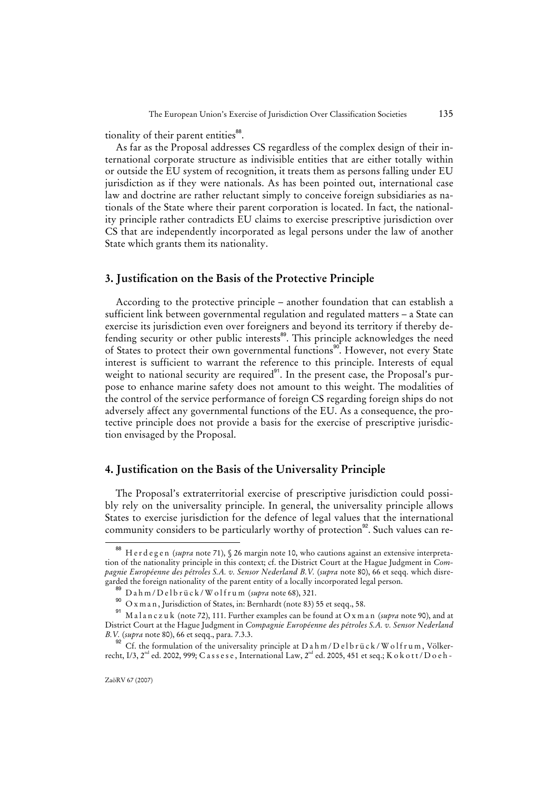tionality of their parent entities<sup>88</sup>.

As far as the Proposal addresses CS regardless of the complex design of their international corporate structure as indivisible entities that are either totally within or outside the EU system of recognition, it treats them as persons falling under EU jurisdiction as if they were nationals. As has been pointed out, international case law and doctrine are rather reluctant simply to conceive foreign subsidiaries as nationals of the State where their parent corporation is located. In fact, the nationality principle rather contradicts EU claims to exercise prescriptive jurisdiction over CS that are independently incorporated as legal persons under the law of another State which grants them its nationality.

# **3. Justification on the Basis of the Protective Principle**

According to the protective principle – another foundation that can establish a sufficient link between governmental regulation and regulated matters – a State can exercise its jurisdiction even over foreigners and beyond its territory if thereby defending security or other public interests<sup>89</sup>. This principle acknowledges the need of States to protect their own governmental functions<sup>90</sup>. However, not every State interest is sufficient to warrant the reference to this principle. Interests of equal weight to national security are required<sup>91</sup>. In the present case, the Proposal's purpose to enhance marine safety does not amount to this weight. The modalities of the control of the service performance of foreign CS regarding foreign ships do not adversely affect any governmental functions of the EU. As a consequence, the protective principle does not provide a basis for the exercise of prescriptive jurisdiction envisaged by the Proposal.

# **4. Justification on the Basis of the Universality Principle**

The Proposal's extraterritorial exercise of prescriptive jurisdiction could possibly rely on the universality principle. In general, the universality principle allows States to exercise jurisdiction for the defence of legal values that the international community considers to be particularly worthy of protection<sup>92</sup>. Such values can re-

<sup>88</sup> Herdegen (*supra* note 71), § 26 margin note 10, who cautions against an extensive interpretation of the nationality principle in this context; cf. the District Court at the Hague Judgment in *Compagnie Européenne des pétroles S.A. v. Sensor Nederland B.V.* (*supra* note 80), 66 et seqq. which disregarded the foreign nationality of the parent entity of a locally incorporated legal person.

<sup>89</sup> Dahm/Delbrück/Wolfrum (*supra* note 68), 321.

<sup>90</sup> O x m a n , Jurisdiction of States, in: Bernhardt (note 83) 55 et seqq., 58.

<sup>91</sup> M a l a n c z u k (note 72), 111. Further examples can be found at O x m a n (*supra* note 90), and at District Court at the Hague Judgment in *Compagnie Européenne des pétroles S.A. v. Sensor Nederland B.V.* (*supra* note 80), 66 et seqq., para. 7.3.3.

<sup>92</sup> Cf. the formulation of the universality principle at  $D$  a h m /  $D$  e l b r ü c k / W o l f r u m, Völkerrecht, I/3, 2<sup>nd</sup> ed. 2002, 999; C a s s e s e, International Law, 2<sup>nd</sup> ed. 2005, 451 et seq.; K o k o t t / D o e h -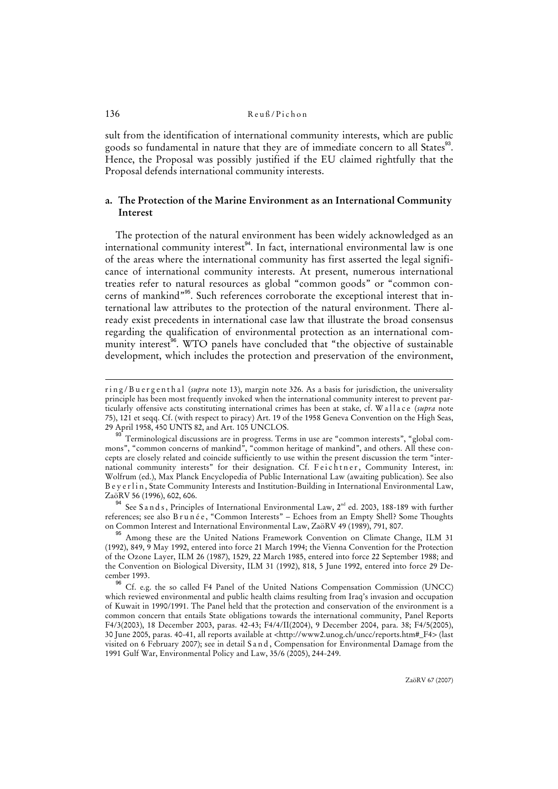sult from the identification of international community interests, which are public goods so fundamental in nature that they are of immediate concern to all States<sup>33</sup>. Hence, the Proposal was possibly justified if the EU claimed rightfully that the Proposal defends international community interests.

# **a. The Protection of the Marine Environment as an International Community Interest**

The protection of the natural environment has been widely acknowledged as an international community interest<sup>94</sup>. In fact, international environmental law is one of the areas where the international community has first asserted the legal significance of international community interests. At present, numerous international treaties refer to natural resources as global "common goods" or "common concerns of mankind"<sup>95</sup>. Such references corroborate the exceptional interest that international law attributes to the protection of the natural environment. There already exist precedents in international case law that illustrate the broad consensus regarding the qualification of environmental protection as an international community interest<sup>96</sup>. WTO panels have concluded that "the objective of sustainable development, which includes the protection and preservation of the environment,

<sup>94</sup> See S a n d s, Principles of International Environmental Law,  $2^{nd}$  ed. 2003, 188-189 with further references; see also Brunée, "Common Interests" - Echoes from an Empty Shell? Some Thoughts on Common Interest and International Environmental Law, ZaöRV 49 (1989), 791, 807.

ring/Buergenthal (*supra* note 13), margin note 326. As a basis for jurisdiction, the universality principle has been most frequently invoked when the international community interest to prevent particularly offensive acts constituting international crimes has been at stake, cf. W a l l a c e (*supra* note 75), 121 et seqq. Cf. (with respect to piracy) Art. 19 of the 1958 Geneva Convention on the High Seas, 29 April 1958, 450 UNTS 82, and Art. 105 UNCLOS.

 $^{93}$  Terminological discussions are in progress. Terms in use are "common interests", "global commons", "common concerns of mankind", "common heritage of mankind", and others. All these concepts are closely related and coincide sufficiently to use within the present discussion the term "international community interests" for their designation. Cf. Feichtner, Community Interest, in: Wolfrum (ed.), Max Planck Encyclopedia of Public International Law (awaiting publication). See also B e y e r l i n, State Community Interests and Institution-Building in International Environmental Law, ZaöRV 56 (1996), 602, 606.

<sup>95</sup> Among these are the United Nations Framework Convention on Climate Change, ILM 31 (1992), 849, 9 May 1992, entered into force 21 March 1994; the Vienna Convention for the Protection of the Ozone Layer, ILM 26 (1987), 1529, 22 March 1985, entered into force 22 September 1988; and the Convention on Biological Diversity, ILM 31 (1992), 818, 5 June 1992, entered into force 29 December 1993.

<sup>&</sup>lt;sup>96</sup> Cf. e.g. the so called F4 Panel of the United Nations Compensation Commission (UNCC) which reviewed environmental and public health claims resulting from Iraq's invasion and occupation of Kuwait in 1990/1991. The Panel held that the protection and conservation of the environment is a common concern that entails State obligations towards the international community, Panel Reports F4/3(2003), 18 December 2003, paras. 42-43; F4/4/II(2004), 9 December 2004, para. 38; F4/5(2005), 30 June 2005, paras. 40-41, all reports available at <http://www2.unog.ch/uncc/reports.htm#\_F4> (last visited on 6 February 2007); see in detail S a n d , Compensation for Environmental Damage from the 1991 Gulf War, Environmental Policy and Law, 35/6 (2005), 244-249.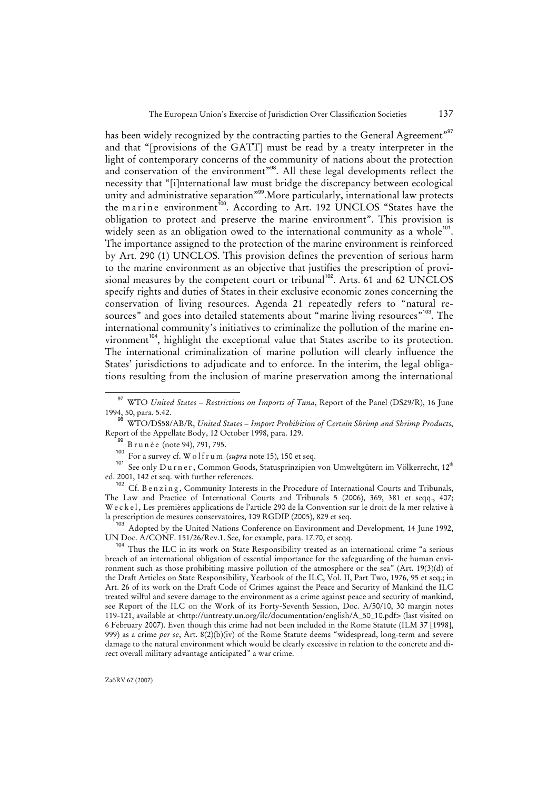has been widely recognized by the contracting parties to the General Agreement"<sup>97</sup> and that "[provisions of the GATT] must be read by a treaty interpreter in the light of contemporary concerns of the community of nations about the protection and conservation of the environment"<sup>98</sup>. All these legal developments reflect the necessity that "[i]nternational law must bridge the discrepancy between ecological unity and administrative separation"<sup>99</sup>.More particularly, international law protects the marine environment<sup>100</sup>. According to Art. 192 UNCLOS "States have the obligation to protect and preserve the marine environment". This provision is widely seen as an obligation owed to the international community as a whole $101$ . The importance assigned to the protection of the marine environment is reinforced by Art. 290 (1) UNCLOS. This provision defines the prevention of serious harm to the marine environment as an objective that justifies the prescription of provisional measures by the competent court or tribunal<sup>102</sup>. Arts. 61 and 62 UNCLOS specify rights and duties of States in their exclusive economic zones concerning the conservation of living resources. Agenda 21 repeatedly refers to "natural resources" and goes into detailed statements about "marine living resources"<sup>103</sup>. The international community's initiatives to criminalize the pollution of the marine environment<sup>104</sup>, highlight the exceptional value that States ascribe to its protection. The international criminalization of marine pollution will clearly influence the States' jurisdictions to adjudicate and to enforce. In the interim, the legal obligations resulting from the inclusion of marine preservation among the international

<sup>97</sup> WTO *United States – Restrictions on Imports of Tuna*, Report of the Panel (DS29/R), 16 June 1994, 50, para. 5.42.

<sup>98</sup> WTO/DS58/AB/R, *United States – Import Prohibition of Certain Shrimp and Shrimp Products*, Report of the Appellate Body, 12 October 1998, para. 129.

B r u n é e (note 94), 791, 795.

<sup>100</sup> For a survey cf. W o l f r u m (*supra* note 15), 150 et seq.

<sup>&</sup>lt;sup>101</sup> See only Durner, Common Goods, Statusprinzipien von Umweltgütern im Völkerrecht, 12<sup>th</sup> ed. 2001, 142 et seq. with further references.

<sup>102</sup> Cf. B e n z i n g, Community Interests in the Procedure of International Courts and Tribunals, The Law and Practice of International Courts and Tribunals 5 (2006), 369, 381 et seqq., 407; W e c k e l , Les premières applications de l'article 290 de la Convention sur le droit de la mer relative à la prescription de mesures conservatoires, 109 RGDIP (2005), 829 et seq.

Adopted by the United Nations Conference on Environment and Development, 14 June 1992, UN Doc. A/CONF. 151/26/Rev.1. See, for example, para. 17.70, et seqq.

<sup>104</sup> Thus the ILC in its work on State Responsibility treated as an international crime "a serious breach of an international obligation of essential importance for the safeguarding of the human environment such as those prohibiting massive pollution of the atmosphere or the sea" (Art. 19(3)(d) of the Draft Articles on State Responsibility, Yearbook of the ILC, Vol. II, Part Two, 1976, 95 et seq.; in Art. 26 of its work on the Draft Code of Crimes against the Peace and Security of Mankind the ILC treated wilful and severe damage to the environment as a crime against peace and security of mankind, see Report of the ILC on the Work of its Forty-Seventh Session, Doc. A/50/10, 30 margin notes 119-121, available at <http://untreaty.un.org/ilc/documentation/english/A\_50\_10.pdf> (last visited on 6 February 2007). Even though this crime had not been included in the Rome Statute (ILM 37 [1998], 999) as a crime *per se*, Art. 8(2)(b)(iv) of the Rome Statute deems "widespread, long-term and severe damage to the natural environment which would be clearly excessive in relation to the concrete and direct overall military advantage anticipated" a war crime.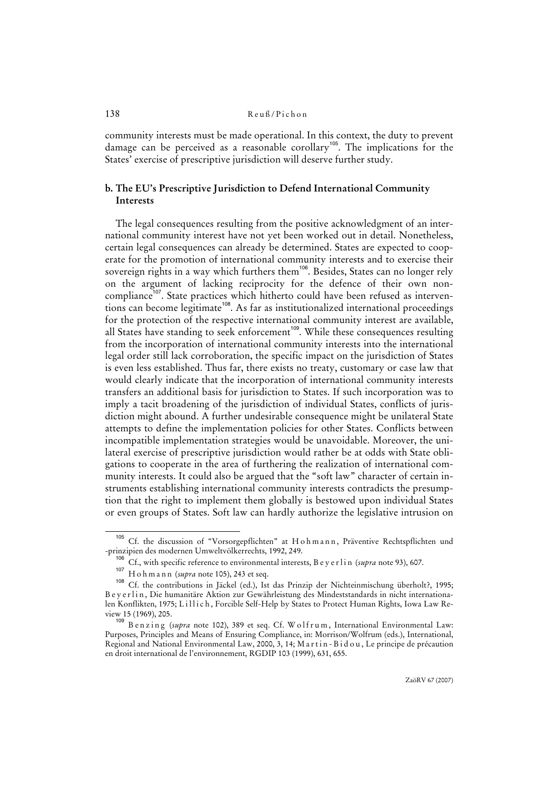community interests must be made operational. In this context, the duty to prevent damage can be perceived as a reasonable corollary<sup>105</sup>. The implications for the States' exercise of prescriptive jurisdiction will deserve further study.

# **b. The EU's Prescriptive Jurisdiction to Defend International Community Interests**

The legal consequences resulting from the positive acknowledgment of an international community interest have not yet been worked out in detail. Nonetheless, certain legal consequences can already be determined. States are expected to cooperate for the promotion of international community interests and to exercise their sovereign rights in a way which furthers them<sup>106</sup>. Besides, States can no longer rely on the argument of lacking reciprocity for the defence of their own noncompliance<sup>107</sup>. State practices which hitherto could have been refused as interventions can become legitimate<sup>108</sup>. As far as institutionalized international proceedings for the protection of the respective international community interest are available, all States have standing to seek enforcement<sup>109</sup>. While these consequences resulting from the incorporation of international community interests into the international legal order still lack corroboration, the specific impact on the jurisdiction of States is even less established. Thus far, there exists no treaty, customary or case law that would clearly indicate that the incorporation of international community interests transfers an additional basis for jurisdiction to States. If such incorporation was to imply a tacit broadening of the jurisdiction of individual States, conflicts of jurisdiction might abound. A further undesirable consequence might be unilateral State attempts to define the implementation policies for other States. Conflicts between incompatible implementation strategies would be unavoidable. Moreover, the unilateral exercise of prescriptive jurisdiction would rather be at odds with State obligations to cooperate in the area of furthering the realization of international community interests. It could also be argued that the "soft law" character of certain instruments establishing international community interests contradicts the presumption that the right to implement them globally is bestowed upon individual States or even groups of States. Soft law can hardly authorize the legislative intrusion on

<sup>&</sup>lt;sup>105</sup> Cf. the discussion of "Vorsorgepflichten" at H o h m a n n, Präventive Rechtspflichten und -prinzipien des modernen Umweltvölkerrechts, 1992, 249.

<sup>&</sup>lt;sup>106</sup> Cf., with specific reference to environmental interests, B e y e r l i n (*supra* note 93), 607.

H o h m a n n (*supra* note 105), 243 et seq.

<sup>108</sup> Cf. the contributions in Jäckel (ed.), Ist das Prinzip der Nichteinmischung überholt?, 1995; B e y e r l i n, Die humanitäre Aktion zur Gewährleistung des Mindeststandards in nicht internationalen Konflikten, 1975; Lillich, Forcible Self-Help by States to Protect Human Rights, Iowa Law Review 15 (1969), 205.

<sup>109</sup> Benzing (*supra* note 102), 389 et seq. Cf. Wolfrum, International Environmental Law: Purposes, Principles and Means of Ensuring Compliance, in: Morrison/Wolfrum (eds.), International, Regional and National Environmental Law, 2000, 3, 14; M a r t in - B i d o u, Le principe de précaution en droit international de l'environnement, RGDIP 103 (1999), 631, 655.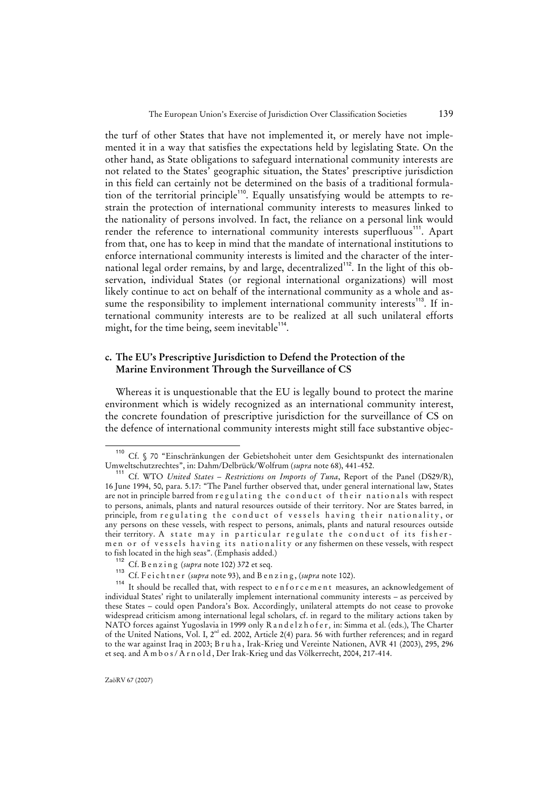the turf of other States that have not implemented it, or merely have not implemented it in a way that satisfies the expectations held by legislating State. On the other hand, as State obligations to safeguard international community interests are not related to the States' geographic situation, the States' prescriptive jurisdiction in this field can certainly not be determined on the basis of a traditional formulation of the territorial principle<sup>110</sup>. Equally unsatisfying would be attempts to restrain the protection of international community interests to measures linked to the nationality of persons involved. In fact, the reliance on a personal link would render the reference to international community interests superfluous<sup>111</sup>. Apart from that, one has to keep in mind that the mandate of international institutions to enforce international community interests is limited and the character of the international legal order remains, by and large, decentralized<sup>112</sup>. In the light of this observation, individual States (or regional international organizations) will most likely continue to act on behalf of the international community as a whole and assume the responsibility to implement international community interests<sup>113</sup>. If international community interests are to be realized at all such unilateral efforts might, for the time being, seem inevitable $114$ .

### **c. The EU's Prescriptive Jurisdiction to Defend the Protection of the Marine Environment Through the Surveillance of CS**

Whereas it is unquestionable that the EU is legally bound to protect the marine environment which is widely recognized as an international community interest, the concrete foundation of prescriptive jurisdiction for the surveillance of CS on the defence of international community interests might still face substantive objec-

<sup>110</sup> Cf. § 70 "Einschränkungen der Gebietshoheit unter dem Gesichtspunkt des internationalen Umweltschutzrechtes", in: Dahm/Delbrück/Wolfrum (*supra* note 68), 441-452.

<sup>111</sup> Cf. WTO *United States – Restrictions on Imports of Tuna*, Report of the Panel (DS29/R), 16 June 1994, 50, para. 5.17: "The Panel further observed that, under general international law, States are not in principle barred from r e gulating the conduct of their nationals with respect to persons, animals, plants and natural resources outside of their territory. Nor are States barred, in principle, from regulating the conduct of vessels having their nationality, or any persons on these vessels, with respect to persons, animals, plants and natural resources outside their territory. A state may in particular regulate the conduct of its fishermen or of vessels having its nationality or any fishermen on these vessels, with respect to fish located in the high seas". (Emphasis added.)

<sup>112</sup> Cf. B e n z i n g (*supra* note 102) 372 et seq.

<sup>&</sup>lt;sup>113</sup> Cf. F e i c h t n e r (*supra* note 93), and B e n z i n g, (*supra* note 102).

It should be recalled that, with respect to enforcement measures, an acknowledgement of individual States' right to unilaterally implement international community interests – as perceived by these States – could open Pandora's Box. Accordingly, unilateral attempts do not cease to provoke widespread criticism among international legal scholars, cf. in regard to the military actions taken by NATO forces against Yugoslavia in 1999 only R a n d e l z h o f e r, in: Simma et al. (eds.), The Charter of the United Nations, Vol. I, 2<sup>nd</sup> ed. 2002, Article 2(4) para. 56 with further references; and in regard to the war against Iraq in 2003; B r u h a , Irak-Krieg und Vereinte Nationen, AVR 41 (2003), 295, 296 et seq. and A m b o s / A r n o l d, Der Irak-Krieg und das Völkerrecht, 2004, 217-414.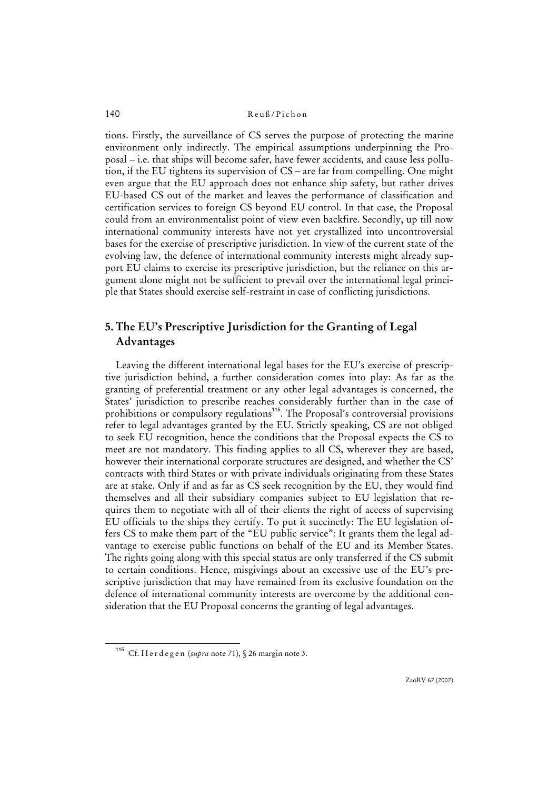tions. Firstly, the surveillance of CS serves the purpose of protecting the marine environment only indirectly. The empirical assumptions underpinning the Proposal – i.e. that ships will become safer, have fewer accidents, and cause less pollution, if the EU tightens its supervision of CS – are far from compelling. One might even argue that the EU approach does not enhance ship safety, but rather drives EU-based CS out of the market and leaves the performance of classification and certification services to foreign CS beyond EU control. In that case, the Proposal could from an environmentalist point of view even backfire. Secondly, up till now international community interests have not yet crystallized into uncontroversial bases for the exercise of prescriptive jurisdiction. In view of the current state of the evolving law, the defence of international community interests might already support EU claims to exercise its prescriptive jurisdiction, but the reliance on this argument alone might not be sufficient to prevail over the international legal principle that States should exercise self-restraint in case of conflicting jurisdictions.

# **5. The EU's Prescriptive Jurisdiction for the Granting of Legal Advantages**

Leaving the different international legal bases for the EU's exercise of prescriptive jurisdiction behind, a further consideration comes into play: As far as the granting of preferential treatment or any other legal advantages is concerned, the States' jurisdiction to prescribe reaches considerably further than in the case of prohibitions or compulsory regulations<sup>115</sup>. The Proposal's controversial provisions refer to legal advantages granted by the EU. Strictly speaking, CS are not obliged to seek EU recognition, hence the conditions that the Proposal expects the CS to meet are not mandatory. This finding applies to all CS, wherever they are based, however their international corporate structures are designed, and whether the CS' contracts with third States or with private individuals originating from these States are at stake. Only if and as far as CS seek recognition by the EU, they would find themselves and all their subsidiary companies subject to EU legislation that requires them to negotiate with all of their clients the right of access of supervising EU officials to the ships they certify. To put it succinctly: The EU legislation offers CS to make them part of the "EU public service": It grants them the legal advantage to exercise public functions on behalf of the EU and its Member States. The rights going along with this special status are only transferred if the CS submit to certain conditions. Hence, misgivings about an excessive use of the EU's prescriptive jurisdiction that may have remained from its exclusive foundation on the defence of international community interests are overcome by the additional consideration that the EU Proposal concerns the granting of legal advantages.

ZaöRV 67 (2007)

<sup>115</sup> Cf. H e r d e g e n (*supra* note 71), § 26 margin note 3.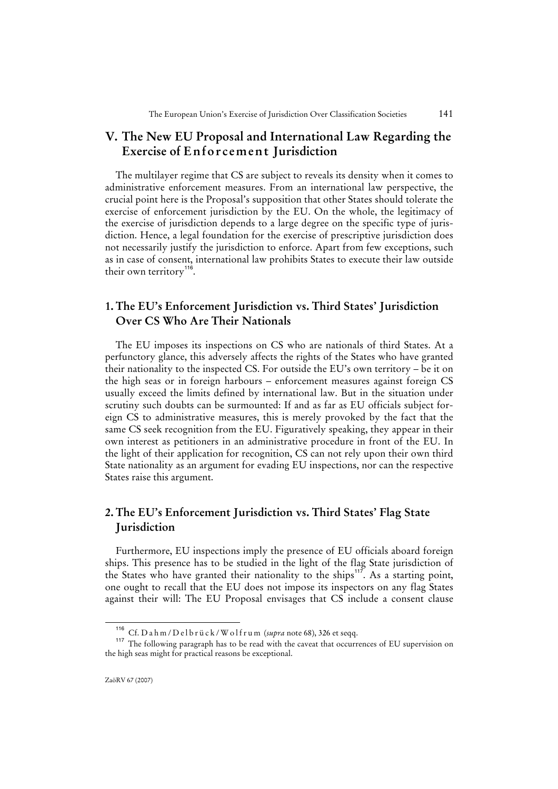# **V. The New EU Proposal and International Law Regarding the Exercise of Enforcement Jurisdiction**

The multilayer regime that CS are subject to reveals its density when it comes to administrative enforcement measures. From an international law perspective, the crucial point here is the Proposal's supposition that other States should tolerate the exercise of enforcement jurisdiction by the EU. On the whole, the legitimacy of the exercise of jurisdiction depends to a large degree on the specific type of jurisdiction. Hence, a legal foundation for the exercise of prescriptive jurisdiction does not necessarily justify the jurisdiction to enforce. Apart from few exceptions, such as in case of consent, international law prohibits States to execute their law outside their own territory<sup>116</sup>.

# **1. The EU's Enforcement Jurisdiction vs. Third States' Jurisdiction Over CS Who Are Their Nationals**

The EU imposes its inspections on CS who are nationals of third States. At a perfunctory glance, this adversely affects the rights of the States who have granted their nationality to the inspected CS. For outside the EU's own territory – be it on the high seas or in foreign harbours – enforcement measures against foreign CS usually exceed the limits defined by international law. But in the situation under scrutiny such doubts can be surmounted: If and as far as EU officials subject foreign CS to administrative measures, this is merely provoked by the fact that the same CS seek recognition from the EU. Figuratively speaking, they appear in their own interest as petitioners in an administrative procedure in front of the EU. In the light of their application for recognition, CS can not rely upon their own third State nationality as an argument for evading EU inspections, nor can the respective States raise this argument.

# **2. The EU's Enforcement Jurisdiction vs. Third States' Flag State Jurisdiction**

Furthermore, EU inspections imply the presence of EU officials aboard foreign ships. This presence has to be studied in the light of the flag State jurisdiction of the States who have granted their nationality to the ships<sup>117</sup>. As a starting point, one ought to recall that the EU does not impose its inspectors on any flag States against their will: The EU Proposal envisages that CS include a consent clause

<sup>116</sup> Cf. D a h m / D e l b r ü c k / W o l f r u m (*supra* note 68), 326 et seqq.

<sup>&</sup>lt;sup>117</sup> The following paragraph has to be read with the caveat that occurrences of EU supervision on the high seas might for practical reasons be exceptional.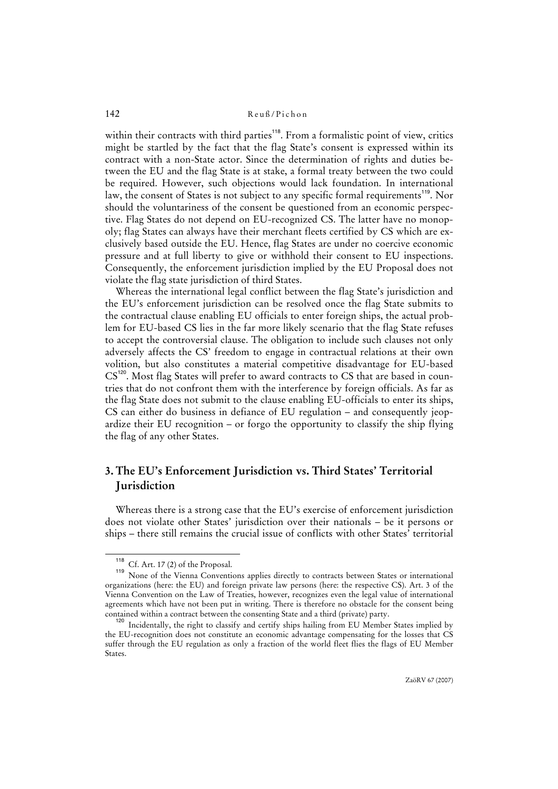within their contracts with third parties<sup>118</sup>. From a formalistic point of view, critics might be startled by the fact that the flag State's consent is expressed within its contract with a non-State actor. Since the determination of rights and duties between the EU and the flag State is at stake, a formal treaty between the two could be required. However, such objections would lack foundation. In international law, the consent of States is not subject to any specific formal requirements<sup>119</sup>. Nor should the voluntariness of the consent be questioned from an economic perspective. Flag States do not depend on EU-recognized CS. The latter have no monopoly; flag States can always have their merchant fleets certified by CS which are exclusively based outside the EU. Hence, flag States are under no coercive economic pressure and at full liberty to give or withhold their consent to EU inspections. Consequently, the enforcement jurisdiction implied by the EU Proposal does not violate the flag state jurisdiction of third States.

Whereas the international legal conflict between the flag State's jurisdiction and the EU's enforcement jurisdiction can be resolved once the flag State submits to the contractual clause enabling EU officials to enter foreign ships, the actual problem for EU-based CS lies in the far more likely scenario that the flag State refuses to accept the controversial clause. The obligation to include such clauses not only adversely affects the CS' freedom to engage in contractual relations at their own volition, but also constitutes a material competitive disadvantage for EU-based CS<sup>120</sup>. Most flag States will prefer to award contracts to CS that are based in countries that do not confront them with the interference by foreign officials. As far as the flag State does not submit to the clause enabling EU-officials to enter its ships, CS can either do business in defiance of EU regulation – and consequently jeopardize their EU recognition – or forgo the opportunity to classify the ship flying the flag of any other States.

# **3. The EU's Enforcement Jurisdiction vs. Third States' Territorial Jurisdiction**

Whereas there is a strong case that the EU's exercise of enforcement jurisdiction does not violate other States' jurisdiction over their nationals – be it persons or ships – there still remains the crucial issue of conflicts with other States' territorial

 $\overline{118}$  Cf. Art. 17 (2) of the Proposal.

<sup>119</sup> None of the Vienna Conventions applies directly to contracts between States or international organizations (here: the EU) and foreign private law persons (here: the respective CS). Art. 3 of the Vienna Convention on the Law of Treaties, however, recognizes even the legal value of international agreements which have not been put in writing. There is therefore no obstacle for the consent being contained within a contract between the consenting State and a third (private) party.

<sup>120</sup> Incidentally, the right to classify and certify ships hailing from EU Member States implied by the EU-recognition does not constitute an economic advantage compensating for the losses that CS suffer through the EU regulation as only a fraction of the world fleet flies the flags of EU Member States.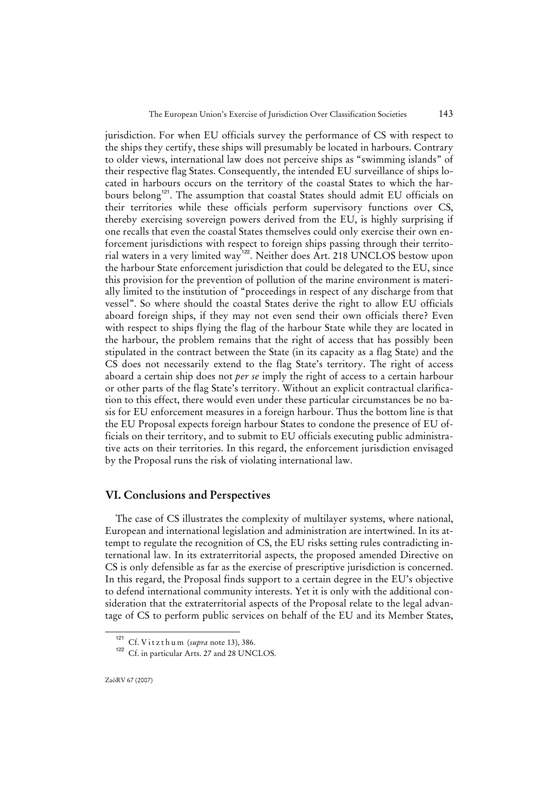jurisdiction. For when EU officials survey the performance of CS with respect to the ships they certify, these ships will presumably be located in harbours. Contrary to older views, international law does not perceive ships as "swimming islands" of their respective flag States. Consequently, the intended EU surveillance of ships located in harbours occurs on the territory of the coastal States to which the harbours belong<sup>121</sup>. The assumption that coastal States should admit EU officials on their territories while these officials perform supervisory functions over CS, thereby exercising sovereign powers derived from the EU, is highly surprising if one recalls that even the coastal States themselves could only exercise their own enforcement jurisdictions with respect to foreign ships passing through their territorial waters in a very limited way<sup>122</sup>. Neither does Art. 218 UNCLOS bestow upon the harbour State enforcement jurisdiction that could be delegated to the EU, since this provision for the prevention of pollution of the marine environment is materially limited to the institution of "proceedings in respect of any discharge from that vessel". So where should the coastal States derive the right to allow EU officials aboard foreign ships, if they may not even send their own officials there? Even with respect to ships flying the flag of the harbour State while they are located in the harbour, the problem remains that the right of access that has possibly been stipulated in the contract between the State (in its capacity as a flag State) and the CS does not necessarily extend to the flag State's territory. The right of access aboard a certain ship does not *per se* imply the right of access to a certain harbour or other parts of the flag State's territory. Without an explicit contractual clarification to this effect, there would even under these particular circumstances be no basis for EU enforcement measures in a foreign harbour. Thus the bottom line is that the EU Proposal expects foreign harbour States to condone the presence of EU officials on their territory, and to submit to EU officials executing public administrative acts on their territories. In this regard, the enforcement jurisdiction envisaged by the Proposal runs the risk of violating international law.

### **VI. Conclusions and Perspectives**

The case of CS illustrates the complexity of multilayer systems, where national, European and international legislation and administration are intertwined. In its attempt to regulate the recognition of CS, the EU risks setting rules contradicting international law. In its extraterritorial aspects, the proposed amended Directive on CS is only defensible as far as the exercise of prescriptive jurisdiction is concerned. In this regard, the Proposal finds support to a certain degree in the EU's objective to defend international community interests. Yet it is only with the additional consideration that the extraterritorial aspects of the Proposal relate to the legal advantage of CS to perform public services on behalf of the EU and its Member States,

<sup>121</sup> Cf. V i t z t h u m (*supra* note 13), 386.

<sup>&</sup>lt;sup>122</sup> Cf. in particular Arts. 27 and 28 UNCLOS.